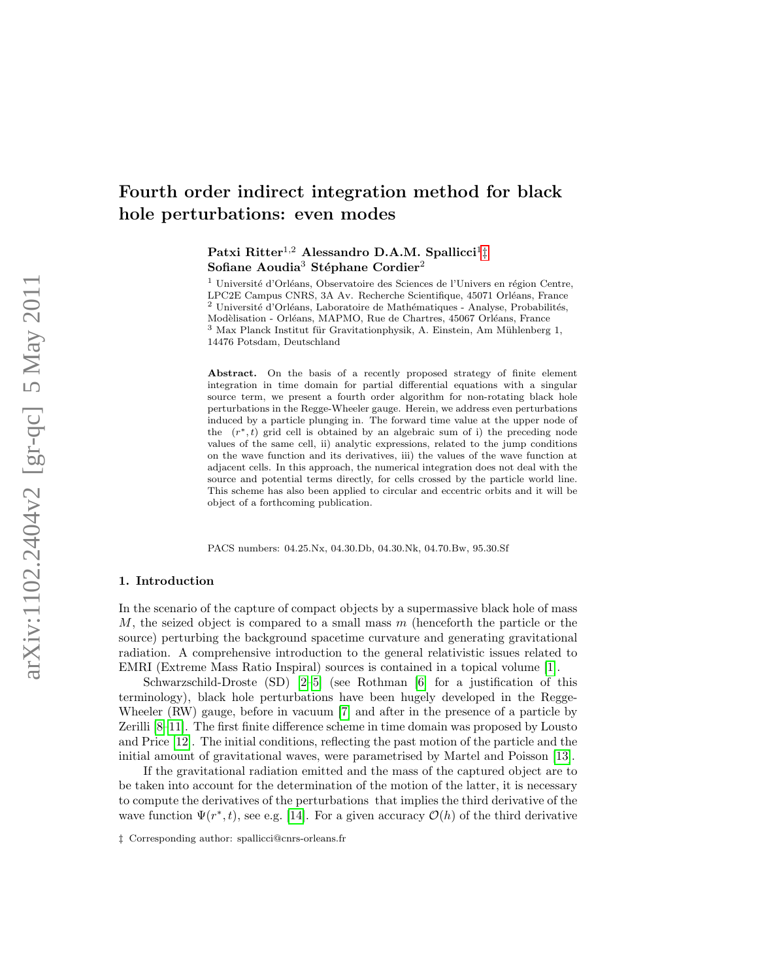# Fourth order indirect integration method for black hole perturbations: even modes

# Patxi Ritter<sup>1,2</sup> Alessandro D.A.M. Spallicci<sup>1</sup><sup>[‡](#page-0-0)</sup> Sofiane Aoudia<sup>3</sup> Stéphane Cordier<sup>2</sup>

<sup>1</sup> Université d'Orléans, Observatoire des Sciences de l'Univers en région Centre, LPC2E Campus CNRS, 3A Av. Recherche Scientifique, 45071 Orléans, France  $2$  Université d'Orléans, Laboratoire de Mathématiques - Analyse, Probabilités, Modèlisation - Orléans, MAPMO, Rue de Chartres, 45067 Orléans, France  $^3$  Max Planck Institut für Gravitationphysik, A. Einstein, Am Mühlenberg 1, 14476 Potsdam, Deutschland

Abstract. On the basis of a recently proposed strategy of finite element integration in time domain for partial differential equations with a singular source term, we present a fourth order algorithm for non-rotating black hole perturbations in the Regge-Wheeler gauge. Herein, we address even perturbations induced by a particle plunging in. The forward time value at the upper node of the  $(r^*, t)$  grid cell is obtained by an algebraic sum of i) the preceding node values of the same cell, ii) analytic expressions, related to the jump conditions on the wave function and its derivatives, iii) the values of the wave function at adjacent cells. In this approach, the numerical integration does not deal with the source and potential terms directly, for cells crossed by the particle world line. This scheme has also been applied to circular and eccentric orbits and it will be object of a forthcoming publication.

PACS numbers: 04.25.Nx, 04.30.Db, 04.30.Nk, 04.70.Bw, 95.30.Sf

## 1. Introduction

In the scenario of the capture of compact objects by a supermassive black hole of mass M, the seized object is compared to a small mass  $m$  (henceforth the particle or the source) perturbing the background spacetime curvature and generating gravitational radiation. A comprehensive introduction to the general relativistic issues related to EMRI (Extreme Mass Ratio Inspiral) sources is contained in a topical volume [\[1\]](#page-21-0).

Schwarzschild-Droste (SD) [\[2–](#page-21-1)[5\]](#page-21-2) (see Rothman [\[6\]](#page-21-3) for a justification of this terminology), black hole perturbations have been hugely developed in the Regge-Wheeler (RW) gauge, before in vacuum [\[7\]](#page-21-4) and after in the presence of a particle by Zerilli [\[8–](#page-21-5)[11\]](#page-21-6). The first finite difference scheme in time domain was proposed by Lousto and Price [\[12\]](#page-22-0). The initial conditions, reflecting the past motion of the particle and the initial amount of gravitational waves, were parametrised by Martel and Poisson [\[13\]](#page-22-1).

If the gravitational radiation emitted and the mass of the captured object are to be taken into account for the determination of the motion of the latter, it is necessary to compute the derivatives of the perturbations that implies the third derivative of the wave function  $\Psi(r^*,t)$ , see e.g. [\[14\]](#page-22-2). For a given accuracy  $\mathcal{O}(h)$  of the third derivative

<span id="page-0-0"></span><sup>‡</sup> Corresponding author: spallicci@cnrs-orleans.fr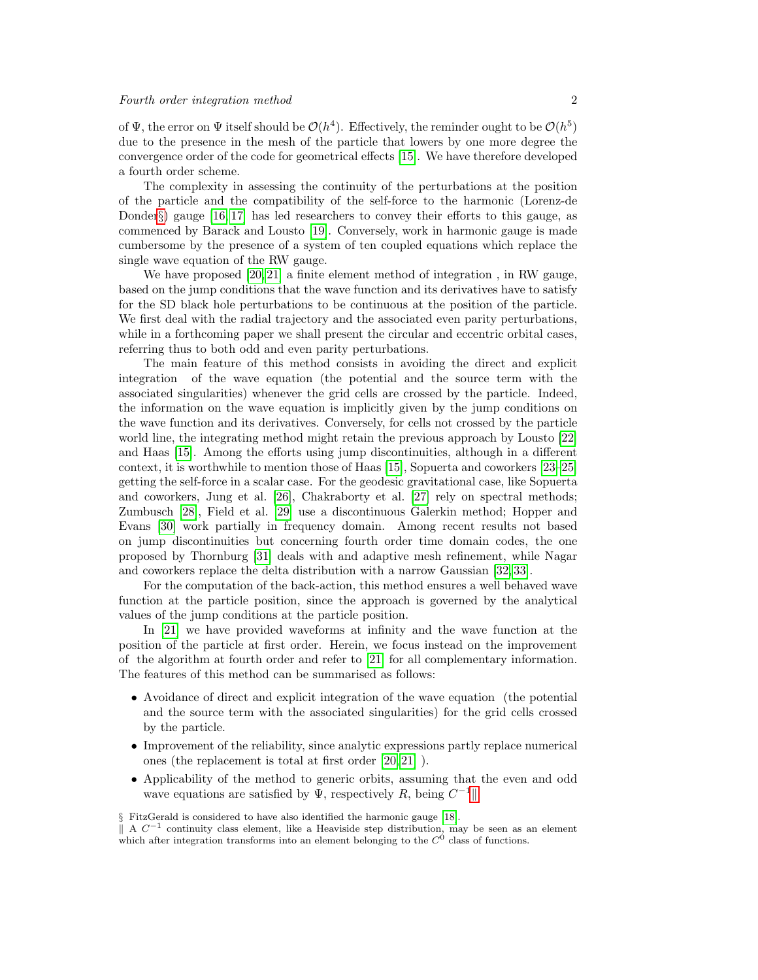of  $\Psi$ , the error on  $\Psi$  itself should be  $\mathcal{O}(h^4)$ . Effectively, the reminder ought to be  $\mathcal{O}(h^5)$ due to the presence in the mesh of the particle that lowers by one more degree the convergence order of the code for geometrical effects [\[15\]](#page-22-3). We have therefore developed a fourth order scheme.

The complexity in assessing the continuity of the perturbations at the position of the particle and the compatibility of the self-force to the harmonic (Lorenz-de Donder $\S$  gauge [\[16,](#page-22-4) [17\]](#page-22-5) has led researchers to convey their efforts to this gauge, as commenced by Barack and Lousto [\[19\]](#page-22-6). Conversely, work in harmonic gauge is made cumbersome by the presence of a system of ten coupled equations which replace the single wave equation of the RW gauge.

We have proposed [\[20,](#page-22-7) [21\]](#page-22-8) a finite element method of integration , in RW gauge, based on the jump conditions that the wave function and its derivatives have to satisfy for the SD black hole perturbations to be continuous at the position of the particle. We first deal with the radial trajectory and the associated even parity perturbations, while in a forthcoming paper we shall present the circular and eccentric orbital cases, referring thus to both odd and even parity perturbations.

The main feature of this method consists in avoiding the direct and explicit integration of the wave equation (the potential and the source term with the associated singularities) whenever the grid cells are crossed by the particle. Indeed, the information on the wave equation is implicitly given by the jump conditions on the wave function and its derivatives. Conversely, for cells not crossed by the particle world line, the integrating method might retain the previous approach by Lousto [\[22\]](#page-22-9) and Haas [\[15\]](#page-22-3). Among the efforts using jump discontinuities, although in a different context, it is worthwhile to mention those of Haas [\[15\]](#page-22-3), Sopuerta and coworkers [\[23–](#page-22-10)[25\]](#page-22-11) getting the self-force in a scalar case. For the geodesic gravitational case, like Sopuerta and coworkers, Jung et al. [\[26\]](#page-22-12), Chakraborty et al. [\[27\]](#page-22-13) rely on spectral methods; Zumbusch [\[28\]](#page-22-14), Field et al. [\[29\]](#page-22-15) use a discontinuous Galerkin method; Hopper and Evans [\[30\]](#page-22-16) work partially in frequency domain. Among recent results not based on jump discontinuities but concerning fourth order time domain codes, the one proposed by Thornburg [\[31\]](#page-22-17) deals with and adaptive mesh refinement, while Nagar and coworkers replace the delta distribution with a narrow Gaussian [\[32,](#page-22-18) [33\]](#page-22-19).

For the computation of the back-action, this method ensures a well behaved wave function at the particle position, since the approach is governed by the analytical values of the jump conditions at the particle position.

In [\[21\]](#page-22-8) we have provided waveforms at infinity and the wave function at the position of the particle at first order. Herein, we focus instead on the improvement of the algorithm at fourth order and refer to [\[21\]](#page-22-8) for all complementary information. The features of this method can be summarised as follows:

- Avoidance of direct and explicit integration of the wave equation (the potential and the source term with the associated singularities) for the grid cells crossed by the particle.
- Improvement of the reliability, since analytic expressions partly replace numerical ones (the replacement is total at first order [\[20,](#page-22-7) [21\]](#page-22-8) ).
- Applicability of the method to generic orbits, assuming that the even and odd wave equations are satisfied by  $\Psi$ , respectively R, being  $C^{-1}$ ||.

<span id="page-1-0"></span>§ FitzGerald is considered to have also identified the harmonic gauge [\[18\]](#page-22-20).

<span id="page-1-1"></span> $\parallel$  A  $C^{-1}$  continuity class element, like a Heaviside step distribution, may be seen as an element which after integration transforms into an element belonging to the  $C^0$  class of functions.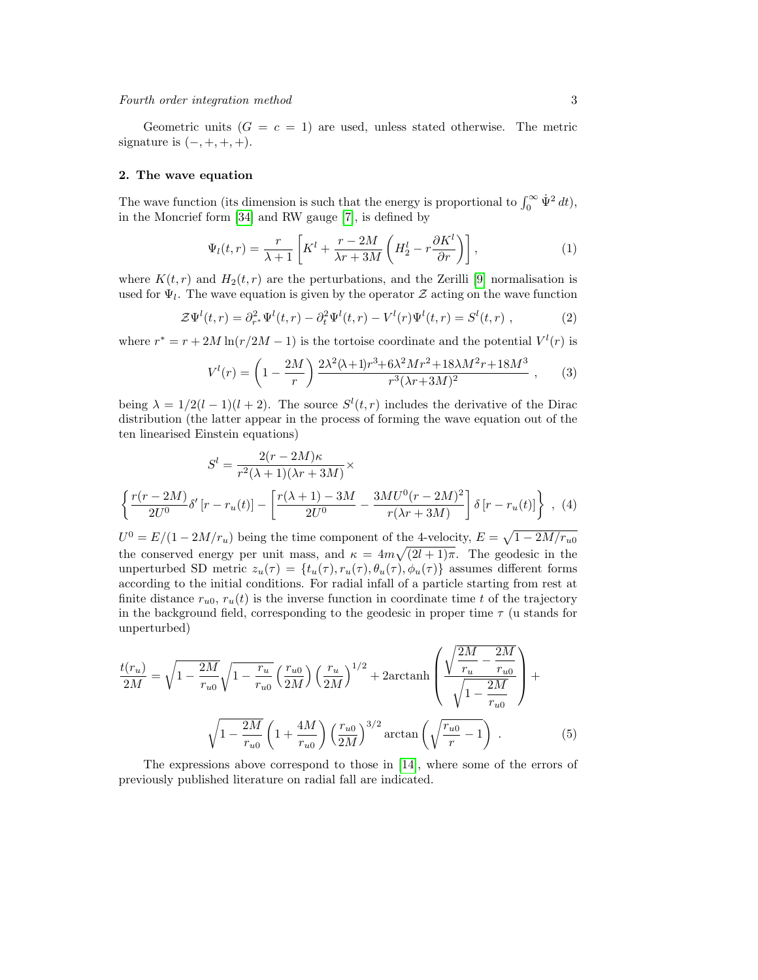Geometric units  $(G = c = 1)$  are used, unless stated otherwise. The metric signature is  $(-, +, +, +)$ .

## 2. The wave equation

The wave function (its dimension is such that the energy is proportional to  $\int_0^\infty \dot{\Psi}^2 dt$ ), in the Moncrief form [\[34\]](#page-22-21) and RW gauge [\[7\]](#page-21-4), is defined by

$$
\Psi_l(t,r) = \frac{r}{\lambda + 1} \left[ K^l + \frac{r - 2M}{\lambda r + 3M} \left( H_2^l - r \frac{\partial K^l}{\partial r} \right) \right],\tag{1}
$$

where  $K(t,r)$  and  $H_2(t,r)$  are the perturbations, and the Zerilli [\[9\]](#page-21-7) normalisation is used for  $\Psi_l$ . The wave equation is given by the operator  $\mathcal Z$  acting on the wave function

<span id="page-2-0"></span>
$$
\mathcal{Z}\Psi^{l}(t,r) = \partial_{r^{*}}^{2}\Psi^{l}(t,r) - \partial_{t}^{2}\Psi^{l}(t,r) - V^{l}(r)\Psi^{l}(t,r) = S^{l}(t,r) ,
$$
 (2)

where  $r^* = r + 2M \ln(r/2M - 1)$  is the tortoise coordinate and the potential  $V^l(r)$  is

$$
V^{l}(r) = \left(1 - \frac{2M}{r}\right) \frac{2\lambda^{2}(\lambda+1)r^{3} + 6\lambda^{2}Mr^{2} + 18\lambda M^{2}r + 18M^{3}}{r^{3}(\lambda r + 3M)^{2}} ,\qquad(3)
$$

being  $\lambda = 1/2(l-1)(l+2)$ . The source  $S^l(t,r)$  includes the derivative of the Dirac distribution (the latter appear in the process of forming the wave equation out of the ten linearised Einstein equations)

$$
S^{l} = \frac{2(r - 2M)\kappa}{r^{2}(\lambda + 1)(\lambda r + 3M)} \times \left\{ \frac{r(r - 2M)}{2U^{0}} \delta' \left[ r - r_{u}(t) \right] - \left[ \frac{r(\lambda + 1) - 3M}{2U^{0}} - \frac{3MU^{0}(r - 2M)^{2}}{r(\lambda r + 3M)} \right] \delta \left[ r - r_{u}(t) \right] \right\} , \tag{4}
$$

 $U^0 = E/(1 - 2M/r_u)$  being the time component of the 4-velocity,  $E = \sqrt{1 - 2M/r_{u0}}$ the conserved energy per unit mass, and  $\kappa = 4m\sqrt{(2l+1)\pi}$ . The geodesic in the unperturbed SD metric  $z_u(\tau) = \{t_u(\tau), r_u(\tau), \theta_u(\tau), \phi_u(\tau)\}\)$  assumes different forms according to the initial conditions. For radial infall of a particle starting from rest at finite distance  $r_{u0}$ ,  $r_u(t)$  is the inverse function in coordinate time t of the trajectory in the background field, corresponding to the geodesic in proper time  $\tau$  (u stands for unperturbed)

$$
\frac{t(r_u)}{2M} = \sqrt{1 - \frac{2M}{r_{u0}}} \sqrt{1 - \frac{r_u}{r_{u0}}} \left(\frac{r_{u0}}{2M}\right) \left(\frac{r_u}{2M}\right)^{1/2} + 2 \arctanh\left(\frac{\sqrt{\frac{2M}{r_u} - \frac{2M}{r_{u0}}}}{\sqrt{1 - \frac{2M}{r_{u0}}}}\right) + \sqrt{1 - \frac{2M}{r_{u0}}} \left(1 + \frac{4M}{r_{u0}}\right) \left(\frac{r_{u0}}{2M}\right)^{3/2} \arctan\left(\sqrt{\frac{r_{u0}}{r} - 1}\right). \tag{5}
$$

The expressions above correspond to those in [\[14\]](#page-22-2), where some of the errors of previously published literature on radial fall are indicated.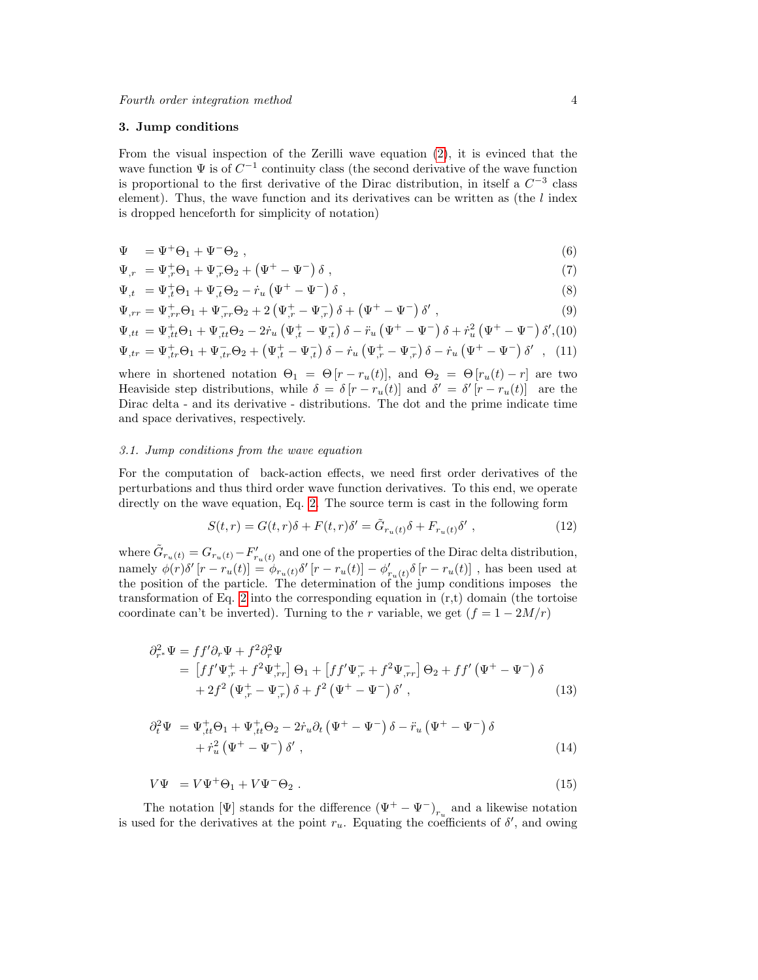#### 3. Jump conditions

From the visual inspection of the Zerilli wave equation [\(2\)](#page-2-0), it is evinced that the wave function  $\Psi$  is of  $C^{-1}$  continuity class (the second derivative of the wave function is proportional to the first derivative of the Dirac distribution, in itself a  $C^{-3}$  class element). Thus, the wave function and its derivatives can be written as (the  $l$  index is dropped henceforth for simplicity of notation)

$$
\Psi = \Psi^+ \Theta_1 + \Psi^- \Theta_2 , \qquad (6)
$$

$$
\Psi_{,r} = \Psi_{,r}^{+} \Theta_1 + \Psi_{,r}^{-} \Theta_2 + (\Psi^{+} - \Psi^{-}) \delta , \qquad (7)
$$

$$
\Psi_{,t} = \Psi_{,t}^{+} \Theta_1 + \Psi_{,t}^{-} \Theta_2 - \dot{r}_u \left( \Psi^{+} - \Psi^{-} \right) \delta \;, \tag{8}
$$

$$
\Psi_{,rr} = \Psi_{,rr}^{+} \Theta_1 + \Psi_{,rr}^{-} \Theta_2 + 2 \left( \Psi_{,r}^{+} - \Psi_{,r}^{-} \right) \delta + \left( \Psi^{+} - \Psi^{-} \right) \delta' , \qquad (9)
$$

$$
\Psi_{,tt} = \Psi_{,tt}^{+} \Theta_1 + \Psi_{,tt}^{-} \Theta_2 - 2 \dot{r}_u \left( \Psi_{,t}^{+} - \Psi_{,t}^{-} \right) \delta - \ddot{r}_u \left( \Psi^{+} - \Psi^{-} \right) \delta + \dot{r}_u^2 \left( \Psi^{+} - \Psi^{-} \right) \delta', \text{(10)}
$$
\n
$$
\Psi_{,tr} = \Psi_{,tr}^{+} \Theta_1 + \Psi_{,tr}^{-} \Theta_2 + \left( \Psi_{,t}^{+} - \Psi_{,t}^{-} \right) \delta - \dot{r}_u \left( \Psi_{,r}^{+} - \Psi_{,r}^{-} \right) \delta - \dot{r}_u \left( \Psi^{+} - \Psi^{-} \right) \delta', \text{(11)}
$$

where in shortened notation  $\Theta_1 = \Theta[r - r_u(t)]$ , and  $\Theta_2 = \Theta[r_u(t) - r]$  are two Heaviside step distributions, while  $\delta = \delta [r - r_u(t)]$  and  $\delta' = \delta' [r - r_u(t)]$  are the Dirac delta - and its derivative - distributions. The dot and the prime indicate time and space derivatives, respectively.

#### 3.1. Jump conditions from the wave equation

For the computation of back-action effects, we need first order derivatives of the perturbations and thus third order wave function derivatives. To this end, we operate directly on the wave equation, Eq. [2.](#page-2-0) The source term is cast in the following form

$$
S(t,r) = G(t,r)\delta + F(t,r)\delta' = \tilde{G}_{r_u(t)}\delta + F_{r_u(t)}\delta',\qquad(12)
$$

where  $\tilde{G}_{r_u(t)} = G_{r_u(t)} - F'_{r_u(t)}$  and one of the properties of the Dirac delta distribution, namely  $\phi(r)\delta'[r-r_u(t)]=\phi_{r_u(t)}\delta'[r-r_u(t)]-\phi_{r_u(t)}'\delta[r-r_u(t)]$ , has been used at the position of the particle. The determination of the jump conditions imposes the transformation of Eq. [2](#page-2-0) into the corresponding equation in  $(r,t)$  domain (the tortoise coordinate can't be inverted). Turning to the r variable, we get  $(f = 1 - 2M/r)$ 

$$
\partial_{r^*}^2 \Psi = f f' \partial_r \Psi + f^2 \partial_r^2 \Psi
$$
  
= 
$$
\left[ f f' \Psi_{,r}^+ + f^2 \Psi_{,rr}^+ \right] \Theta_1 + \left[ f f' \Psi_{,r}^- + f^2 \Psi_{,rr}^- \right] \Theta_2 + f f' \left( \Psi^+ - \Psi^- \right) \delta
$$
  
+ 
$$
2 f^2 \left( \Psi_{,r}^+ - \Psi_{,r}^- \right) \delta + f^2 \left( \Psi^+ - \Psi^- \right) \delta', \tag{13}
$$

$$
\partial_t^2 \Psi = \Psi_{,tt}^+ \Theta_1 + \Psi_{,tt}^+ \Theta_2 - 2\dot{r}_u \partial_t \left( \Psi^+ - \Psi^- \right) \delta - \ddot{r}_u \left( \Psi^+ - \Psi^- \right) \delta + \dot{r}_u^2 \left( \Psi^+ - \Psi^- \right) \delta', \tag{14}
$$

$$
V\Psi = V\Psi^+\Theta_1 + V\Psi^-\Theta_2 \tag{15}
$$

The notation [Ψ] stands for the difference  $(\Psi^+ - \Psi^-)_{r_u}$  and a likewise notation is used for the derivatives at the point  $r_u$ . Equating the coefficients of  $\delta'$ , and owing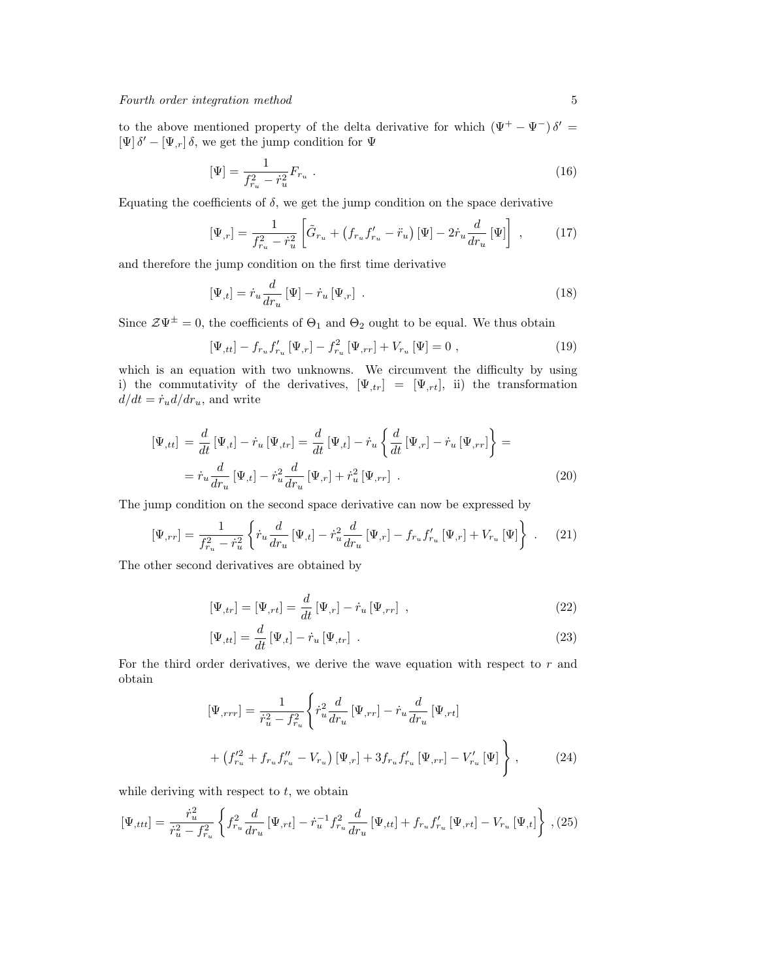to the above mentioned property of the delta derivative for which  $(\Psi^+ - \Psi^-)\delta' =$  $[\Psi]\,\delta'-[\Psi_{,r}]\,\delta,$  we get the jump condition for  $\Psi$ 

$$
\left[\Psi\right] = \frac{1}{f_{r_u}^2 - \dot{r}_u^2} F_{r_u} \ . \tag{16}
$$

Equating the coefficients of  $\delta$ , we get the jump condition on the space derivative

$$
\left[\Psi_{,r}\right] = \frac{1}{f_{r_u}^2 - \dot{r}_u^2} \left[ \tilde{G}_{r_u} + \left(f_{r_u} f_{r_u}' - \ddot{r}_u\right) \left[\Psi\right] - 2 \dot{r}_u \frac{d}{dr_u} \left[\Psi\right] \right] ,\qquad (17)
$$

and therefore the jump condition on the first time derivative

$$
\left[\Psi_{,t}\right] = \dot{r}_u \frac{d}{dr_u} \left[\Psi\right] - \dot{r}_u \left[\Psi_{,r}\right] \tag{18}
$$

Since  $\mathcal{Z}\Psi^{\pm}=0$ , the coefficients of  $\Theta_1$  and  $\Theta_2$  ought to be equal. We thus obtain

$$
[\Psi_{,tt}] - f_{r_u} f'_{r_u} [\Psi_{,r}] - f_{r_u}^2 [\Psi_{,rr}] + V_{r_u} [\Psi] = 0 ,
$$
\n(19)

which is an equation with two unknowns. We circumvent the difficulty by using i) the commutativity of the derivatives,  $[\Psi_{,tr}] = [\Psi_{,rt}]$ , ii) the transformation  $d/dt = \dot{r}_u d/dr_u$ , and write

$$
\left[\Psi_{,tt}\right] = \frac{d}{dt} \left[\Psi_{,t}\right] - \dot{r}_u \left[\Psi_{,tr}\right] = \frac{d}{dt} \left[\Psi_{,t}\right] - \dot{r}_u \left\{\frac{d}{dt} \left[\Psi_{,r}\right] - \dot{r}_u \left[\Psi_{,rr}\right]\right\} =
$$
\n
$$
= \dot{r}_u \frac{d}{dr_u} \left[\Psi_{,t}\right] - \dot{r}_u^2 \frac{d}{dr_u} \left[\Psi_{,r}\right] + \dot{r}_u^2 \left[\Psi_{,rr}\right] .
$$
\n(20)

The jump condition on the second space derivative can now be expressed by

$$
\left[\Psi_{,rr}\right] = \frac{1}{f_{r_u}^2 - \dot{r}_u^2} \left\{ \dot{r}_u \frac{d}{dr_u} \left[\Psi_{,t}\right] - \dot{r}_u^2 \frac{d}{dr_u} \left[\Psi_{,r}\right] - f_{r_u} f'_{r_u} \left[\Psi_{,r}\right] + V_{r_u} \left[\Psi\right] \right\} \ . \tag{21}
$$

The other second derivatives are obtained by

$$
\left[\Psi_{,tr}\right] = \left[\Psi_{,rt}\right] = \frac{d}{dt} \left[\Psi_{,r}\right] - \dot{r}_u \left[\Psi_{,rr}\right] \,,\tag{22}
$$

$$
\left[\Psi_{,tt}\right] = \frac{d}{dt} \left[\Psi_{,t}\right] - \dot{r}_u \left[\Psi_{,tr}\right] \tag{23}
$$

For the third order derivatives, we derive the wave equation with respect to  $r$  and obtain

$$
[\Psi_{,rrr}] = \frac{1}{\dot{r}_u^2 - f_{r_u}^2} \left\{ \dot{r}_u^2 \frac{d}{dr_u} \left[ \Psi_{,rr} \right] - \dot{r}_u \frac{d}{dr_u} \left[ \Psi_{,rt} \right] \right.
$$
  
+ 
$$
\left( f_{r_u}^{\prime 2} + f_{r_u} f_{r_u}^{\prime \prime} - V_{r_u} \right) \left[ \Psi_{,r} \right] + 3 f_{r_u} f_{r_u}^{\prime} \left[ \Psi_{,rr} \right] - V_{r_u}^{\prime} \left[ \Psi \right] \right\} , \qquad (24)
$$

while deriving with respect to  $t$ , we obtain

$$
[\Psi_{,ttt}] = \frac{\dot{r}_u^2}{\dot{r}_u^2 - f_{r_u}^2} \left\{ f_{r_u}^2 \frac{d}{dr_u} [\Psi_{,rt}] - \dot{r}_u^{-1} f_{r_u}^2 \frac{d}{dr_u} [\Psi_{,tt}] + f_{r_u} f_{r_u}' [\Psi_{,rt}] - V_{r_u} [\Psi_{,t}] \right\} , (25)
$$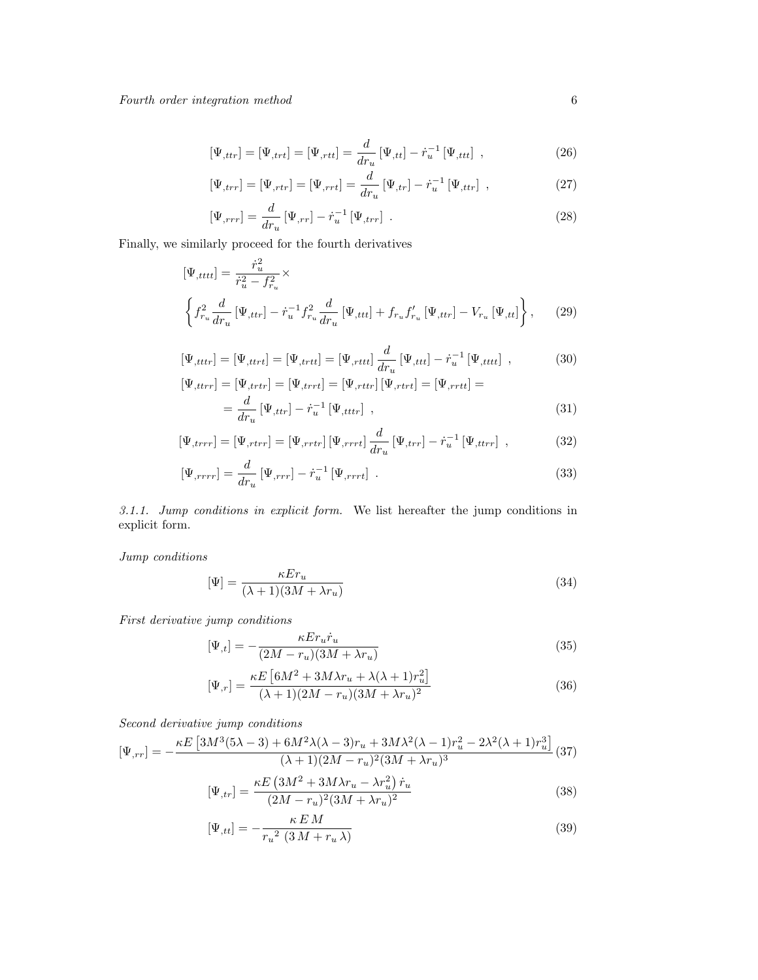$$
[\Psi_{,ttr}] = [\Psi_{,ttt}] = [\Psi_{,rtt}] = \frac{d}{dr_u} [\Psi_{,tt}] - \dot{r}_u^{-1} [\Psi_{,ttt}], \qquad (26)
$$

$$
[\Psi_{,trr}] = [\Psi_{,rtr}] = [\Psi_{,rrt}] = \frac{d}{dr_u} [\Psi_{,tr}] - \dot{r}_u^{-1} [\Psi_{,ttr}], \qquad (27)
$$

$$
\left[\Psi_{,rrr}\right] = \frac{d}{dr_u} \left[\Psi_{,rr}\right] - \dot{r}_u^{-1} \left[\Psi_{,trr}\right] \tag{28}
$$

Finally, we similarly proceed for the fourth derivatives

$$
\left[\Psi_{,tttt}\right] = \frac{\dot{r}_u^2}{\dot{r}_u^2 - f_{r_u}^2} \times \left\{\int_{r_u}^2 \frac{d}{dr_u} \left[\Psi_{,ttr}\right] - \dot{r}_u^{-1} f_{r_u}^2 \frac{d}{dr_u} \left[\Psi_{,ttt}\right] + f_{r_u} f_{r_u}' \left[\Psi_{,ttr}\right] - V_{r_u} \left[\Psi_{,tt}\right] \right\}, \quad (29)
$$

$$
[\Psi_{,tttr}] = [\Psi_{,ttrt}] = [\Psi_{,ttrt}] = [\Psi_{,tttt}] \frac{d}{dr_u} [\Psi_{,ttt}] - \dot{r}_u^{-1} [\Psi_{,tttt}] \quad , \tag{30}
$$

$$
\begin{aligned} \left[\Psi_{,ttrr}\right] &= \left[\Psi_{,trtrr}\right] = \left[\Psi_{,trrt}\right] = \left[\Psi_{,rttr}\right] \left[\Psi_{,rtrt}\right] = \left[\Psi_{,rrtt}\right] = \\ &= \frac{d}{dr_u} \left[\Psi_{,ttr}\right] - \dot{r}_u^{-1} \left[\Psi_{,tttr}\right] \;, \end{aligned} \tag{31}
$$

$$
\left[\Psi_{,trrr}\right] = \left[\Psi_{,rtrr}\right] = \left[\Psi_{,rrtr}\right] \left[\Psi_{,rrrt}\right] \frac{d}{dr_u} \left[\Psi_{,trr}\right] - \dot{r}_u^{-1} \left[\Psi_{,ttrr}\right] \,,\tag{32}
$$

$$
\left[\Psi_{,rrrr}\right] = \frac{d}{dr_u} \left[\Psi_{,rrr}\right] - \dot{r}_u^{-1} \left[\Psi_{,rrrt}\right] \tag{33}
$$

3.1.1. Jump conditions in explicit form. We list hereafter the jump conditions in explicit form.

Jump conditions

<span id="page-5-0"></span>
$$
[\Psi] = \frac{\kappa E r_u}{(\lambda + 1)(3M + \lambda r_u)}\tag{34}
$$

First derivative jump conditions

$$
[\Psi_{,t}] = -\frac{\kappa E r_u \dot{r}_u}{(2M - r_u)(3M + \lambda r_u)}\tag{35}
$$

$$
\left[\Psi_{,r}\right] = \frac{\kappa E\left[6M^2 + 3M\lambda r_u + \lambda(\lambda + 1)r_u^2\right]}{(\lambda + 1)(2M - r_u)(3M + \lambda r_u)^2}
$$
\n(36)

Second derivative jump conditions

$$
[\Psi_{,rr}] = -\frac{\kappa E \left[3M^3(5\lambda - 3) + 6M^2\lambda(\lambda - 3)r_u + 3M\lambda^2(\lambda - 1)r_u^2 - 2\lambda^2(\lambda + 1)r_u^3\right]}{(\lambda + 1)(2M - r_u)^2(3M + \lambda r_u)^3} (37)
$$

$$
[\Psi_{,tr}] = \frac{\kappa E \left(3M^2 + 3M\lambda r_u - \lambda r_u^2\right) \dot{r}_u}{(2M - r_u)^2(2M + \lambda r_u)^2} \tag{38}
$$

<span id="page-5-1"></span>
$$
[\Psi_{,tr}] = \frac{(\sqrt{2M - r_u})^2 (3M + \lambda r_u)^2}{(2M - r_u)^2 (3M + \lambda r_u)^2}
$$
(38)

$$
[\Psi_{,tt}] = -\frac{\kappa E M}{r_u^2 (3M + r_u \lambda)}\tag{39}
$$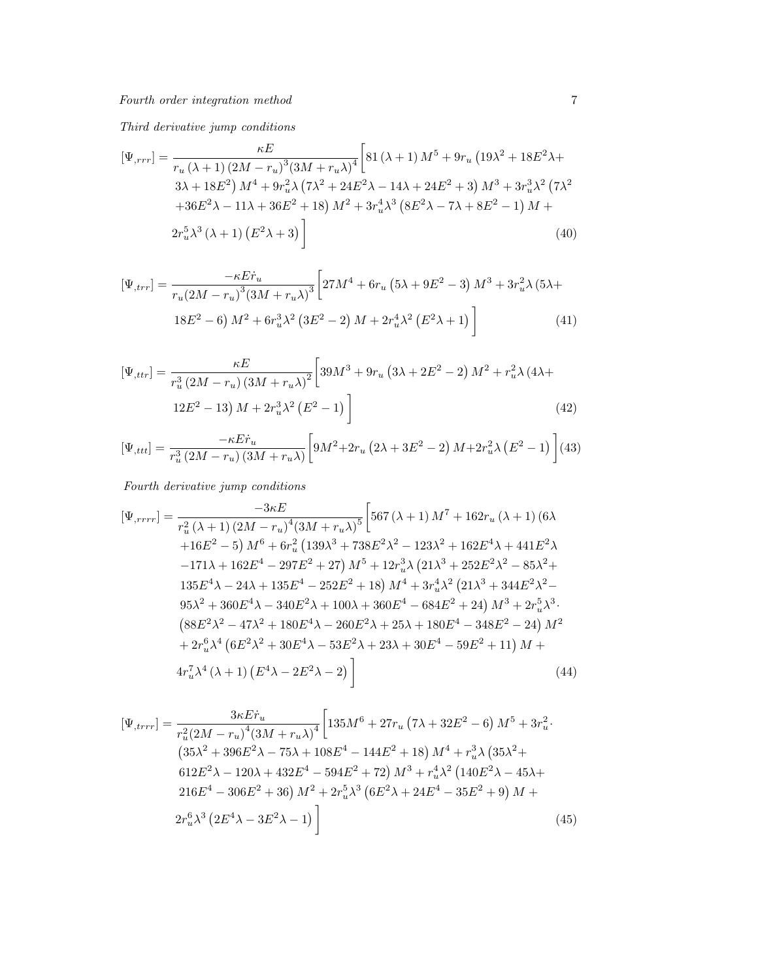Third derivative jump conditions

$$
[\Psi_{,rrr}] = \frac{\kappa E}{r_u (\lambda + 1) (2M - r_u)^3 (3M + r_u \lambda)^4} \left[ 81 (\lambda + 1) M^5 + 9r_u (19\lambda^2 + 18E^2 \lambda + 3\lambda + 18E^2) M^4 + 9r_u^2 \lambda (7\lambda^2 + 24E^2 \lambda - 14\lambda + 24E^2 + 3) M^3 + 3r_u^3 \lambda^2 (7\lambda^2 + 36E^2 \lambda - 11\lambda + 36E^2 + 18) M^2 + 3r_u^4 \lambda^3 (8E^2 \lambda - 7\lambda + 8E^2 - 1) M + 2r_u^5 \lambda^3 (\lambda + 1) (E^2 \lambda + 3) \right]
$$
\n
$$
(40)
$$

$$
[\Psi_{,trr}] = \frac{-\kappa E \dot{r}_u}{r_u (2M - r_u)^3 (3M + r_u \lambda)^3} \left[ 27M^4 + 6r_u (5\lambda + 9E^2 - 3) M^3 + 3r_u^2 \lambda (5\lambda + 18E^2 - 6) M^2 + 6r_u^3 \lambda^2 (3E^2 - 2) M + 2r_u^4 \lambda^2 (E^2 \lambda + 1) \right]
$$
(41)

$$
[\Psi_{,ttr}] = \frac{\kappa E}{r_u^3 (2M - r_u) (3M + r_u \lambda)^2} \left[ 39M^3 + 9r_u (3\lambda + 2E^2 - 2) M^2 + r_u^2 \lambda (4\lambda + 12E^2 - 13) M + 2r_u^3 \lambda^2 (E^2 - 1) \right]
$$
\n(42)

$$
[\Psi_{,ttt}] = \frac{-\kappa E \dot{r}_u}{r_u^3 (2M - r_u)(3M + r_u \lambda)} \left[ 9M^2 + 2r_u (2\lambda + 3E^2 - 2) M + 2r_u^2 \lambda (E^2 - 1) \right] (43)
$$

Fourth derivative jump conditions

$$
[\Psi_{,rrrr}]=\frac{-3\kappa E}{r_u^2(\lambda+1)(2M-r_u)^4(3M+r_u\lambda)^5}\left[567(\lambda+1)M^7+162r_u(\lambda+1)(6\lambda+16E^2-5)M^6+6r_u^2(139\lambda^3+738E^2\lambda^2-123\lambda^2+162E^4\lambda+441E^2\lambda-171\lambda+162E^4-297E^2+27)M^5+12r_u^3\lambda(21\lambda^3+252E^2\lambda^2-85\lambda^2+135E^4\lambda-24\lambda+135E^4-252E^2+18)M^4+3r_u^4\lambda^2(21\lambda^3+344E^2\lambda^2-95\lambda^2+360E^4\lambda-340E^2\lambda+100\lambda+360E^4-684E^2+24)M^3+2r_u^5\lambda^3\cdot(88E^2\lambda^2-47\lambda^2+180E^4\lambda-260E^2\lambda+25\lambda+180E^4-348E^2-24)M^2+2r_u^6\lambda^4(6E^2\lambda^2+30E^4\lambda-53E^2\lambda+23\lambda+30E^4-59E^2+11)M+4r_u^7\lambda^4(\lambda+1)(E^4\lambda-2E^2\lambda-2)\right]
$$
\n(44)

$$
[\Psi_{,trrr}] = \frac{3\kappa E\dot{r}_u}{r_u^2(2M - r_u)^4(3M + r_u\lambda)^4} \left[ 135M^6 + 27r_u \left(7\lambda + 32E^2 - 6\right)M^5 + 3r_u^2 \cdot \frac{35\lambda^2 + 396E^2\lambda - 75\lambda + 108E^4 - 144E^2 + 18\right)M^4 + r_u^3\lambda \left(35\lambda^2 + 612E^2\lambda - 120\lambda + 432E^4 - 594E^2 + 72\right)M^3 + r_u^4\lambda^2 \left(140E^2\lambda - 45\lambda + 216E^4 - 306E^2 + 36\right)M^2 + 2r_u^5\lambda^3 \left(6E^2\lambda + 24E^4 - 35E^2 + 9\right)M + 2r_u^6\lambda^3 \left(2E^4\lambda - 3E^2\lambda - 1\right) \right]
$$
\n
$$
(45)
$$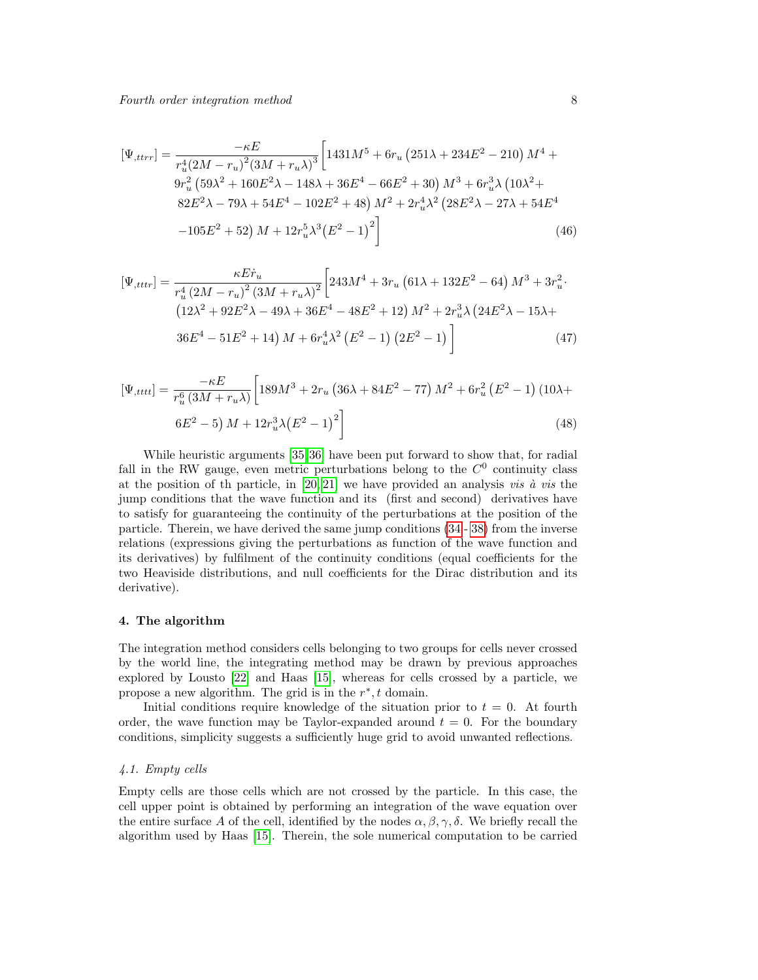$$
[\Psi_{,ttrr}] = \frac{-\kappa E}{r_u^4 (2M - r_u)^2 (3M + r_u \lambda)^3} \left[ 1431 M^5 + 6r_u (251 \lambda + 234 E^2 - 210) M^4 + 9r_u^2 (59 \lambda^2 + 160 E^2 \lambda - 148 \lambda + 36 E^4 - 66 E^2 + 30) M^3 + 6r_u^3 \lambda (10 \lambda^2 + 82 E^2 \lambda - 79 \lambda + 54 E^4 - 102 E^2 + 48) M^2 + 2r_u^4 \lambda^2 (28 E^2 \lambda - 27 \lambda + 54 E^4 - 105 E^2 + 52) M + 12r_u^5 \lambda^3 (E^2 - 1)^2 \right]
$$
(46)

$$
[\Psi_{,tttr}] = \frac{\kappa E \dot{r}_u}{r_u^4 (2M - r_u)^2 (3M + r_u \lambda)^2} \left[ 243M^4 + 3r_u (61\lambda + 132E^2 - 64) M^3 + 3r_u^2 \cdot (12\lambda^2 + 92E^2\lambda - 49\lambda + 36E^4 - 48E^2 + 12) M^2 + 2r_u^3 \lambda (24E^2\lambda - 15\lambda + 36E^4 - 51E^2 + 14) M + 6r_u^4 \lambda^2 (E^2 - 1) (2E^2 - 1) \right]
$$
(47)

$$
[\Psi_{,tttt}] = \frac{-\kappa E}{r_u^6 (3M + r_u \lambda)} \left[ 189M^3 + 2r_u (36\lambda + 84E^2 - 77) M^2 + 6r_u^2 (E^2 - 1) (10\lambda + 6E^2 - 5) M + 12r_u^3 \lambda (E^2 - 1)^2 \right]
$$
\n(48)

While heuristic arguments [\[35,](#page-22-22) [36\]](#page-22-23) have been put forward to show that, for radial fall in the RW gauge, even metric perturbations belong to the  $C<sup>0</sup>$  continuity class at the position of th particle, in  $[20, 21]$  $[20, 21]$  we have provided an analysis *vis*  $\dot{a}$  *vis* the jump conditions that the wave function and its (first and second) derivatives have to satisfy for guaranteeing the continuity of the perturbations at the position of the particle. Therein, we have derived the same jump conditions [\(34](#page-5-0) - [38\)](#page-5-1) from the inverse relations (expressions giving the perturbations as function of the wave function and its derivatives) by fulfilment of the continuity conditions (equal coefficients for the two Heaviside distributions, and null coefficients for the Dirac distribution and its derivative).

## 4. The algorithm

The integration method considers cells belonging to two groups for cells never crossed by the world line, the integrating method may be drawn by previous approaches explored by Lousto [\[22\]](#page-22-9) and Haas [\[15\]](#page-22-3), whereas for cells crossed by a particle, we propose a new algorithm. The grid is in the  $r^*$ , t domain.

Initial conditions require knowledge of the situation prior to  $t = 0$ . At fourth order, the wave function may be Taylor-expanded around  $t = 0$ . For the boundary conditions, simplicity suggests a sufficiently huge grid to avoid unwanted reflections.

## 4.1. Empty cells

Empty cells are those cells which are not crossed by the particle. In this case, the cell upper point is obtained by performing an integration of the wave equation over the entire surface A of the cell, identified by the nodes  $\alpha, \beta, \gamma, \delta$ . We briefly recall the algorithm used by Haas [\[15\]](#page-22-3). Therein, the sole numerical computation to be carried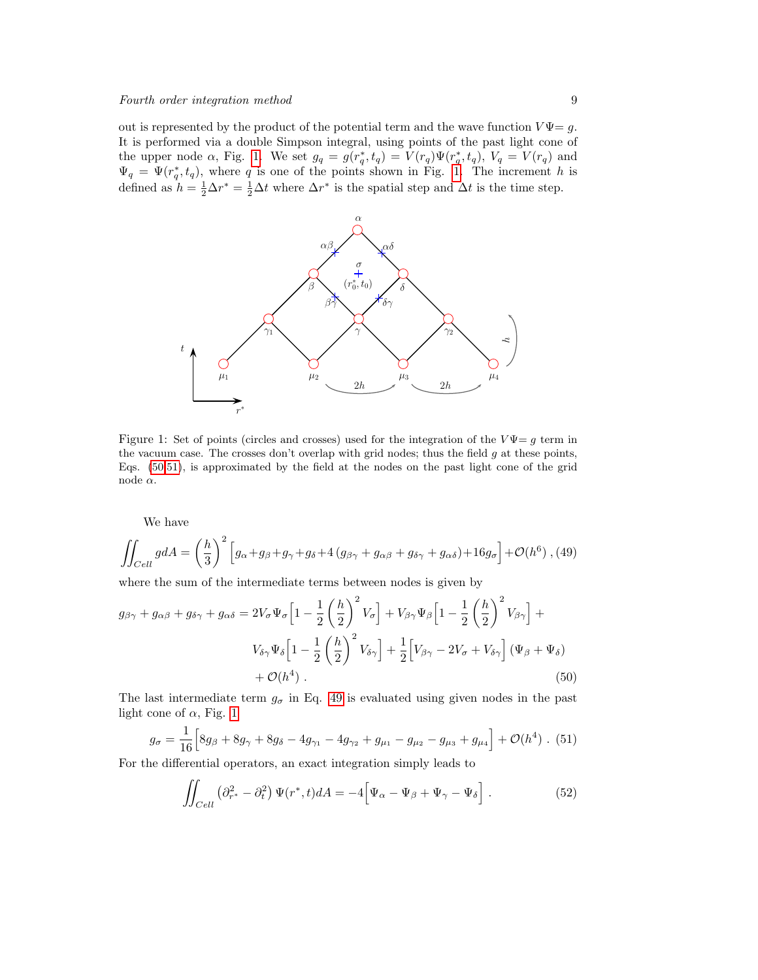out is represented by the product of the potential term and the wave function  $V\Psi = g$ . It is performed via a double Simpson integral, using points of the past light cone of the upper node  $\alpha$ , Fig. [1.](#page-8-0) We set  $g_q = g(r_q^*, t_q) = V(r_q) \Psi(r_q^*, t_q)$ ,  $V_q = V(r_q)$  and  $\Psi_q = \Psi(r_q^*, t_q)$ , where q is one of the points shown in Fig. [1.](#page-8-0) The increment h is defined as  $h = \frac{1}{2}\Delta r^* = \frac{1}{2}\Delta t$  where  $\Delta r^*$  is the spatial step and  $\Delta t$  is the time step.

<span id="page-8-0"></span>

Figure 1: Set of points (circles and crosses) used for the integration of the  $V\Psi = g$  term in the vacuum case. The crosses don't overlap with grid nodes; thus the field  $g$  at these points, Eqs. [\(50,](#page-8-1)[51\)](#page-8-2), is approximated by the field at the nodes on the past light cone of the grid node  $\alpha$ .

<span id="page-8-3"></span>We have

$$
\iint_{Cell} g dA = \left(\frac{h}{3}\right)^2 \left[ g_\alpha + g_\beta + g_\gamma + g_\delta + 4 \left( g_{\beta\gamma} + g_{\alpha\beta} + g_{\delta\gamma} + g_{\alpha\delta} \right) + 16 g_\sigma \right] + \mathcal{O}(h^6) ,
$$
 (49)

where the sum of the intermediate terms between nodes is given by

<span id="page-8-1"></span>
$$
g_{\beta\gamma} + g_{\alpha\beta} + g_{\delta\gamma} + g_{\alpha\delta} = 2V_{\sigma}\Psi_{\sigma} \left[ 1 - \frac{1}{2} \left( \frac{h}{2} \right)^2 V_{\sigma} \right] + V_{\beta\gamma}\Psi_{\beta} \left[ 1 - \frac{1}{2} \left( \frac{h}{2} \right)^2 V_{\beta\gamma} \right] + V_{\delta\gamma}\Psi_{\delta} \left[ 1 - \frac{1}{2} \left( \frac{h}{2} \right)^2 V_{\delta\gamma} \right] + \frac{1}{2} \left[ V_{\beta\gamma} - 2V_{\sigma} + V_{\delta\gamma} \right] (\Psi_{\beta} + \Psi_{\delta}) + \mathcal{O}(h^4) . \tag{50}
$$

The last intermediate term  $g_{\sigma}$  in Eq. [49](#page-8-3) is evaluated using given nodes in the past light cone of  $\alpha$ , Fig. [1](#page-8-0)

<span id="page-8-2"></span>
$$
g_{\sigma} = \frac{1}{16} \Big[ 8g_{\beta} + 8g_{\gamma} + 8g_{\delta} - 4g_{\gamma_1} - 4g_{\gamma_2} + g_{\mu_1} - g_{\mu_2} - g_{\mu_3} + g_{\mu_4} \Big] + \mathcal{O}(h^4) \ . \ (51)
$$

For the differential operators, an exact integration simply leads to

$$
\iint_{Cell} \left( \partial_{r^*}^2 - \partial_t^2 \right) \Psi(r^*, t) dA = -4 \Big[ \Psi_\alpha - \Psi_\beta + \Psi_\gamma - \Psi_\delta \Big] \ . \tag{52}
$$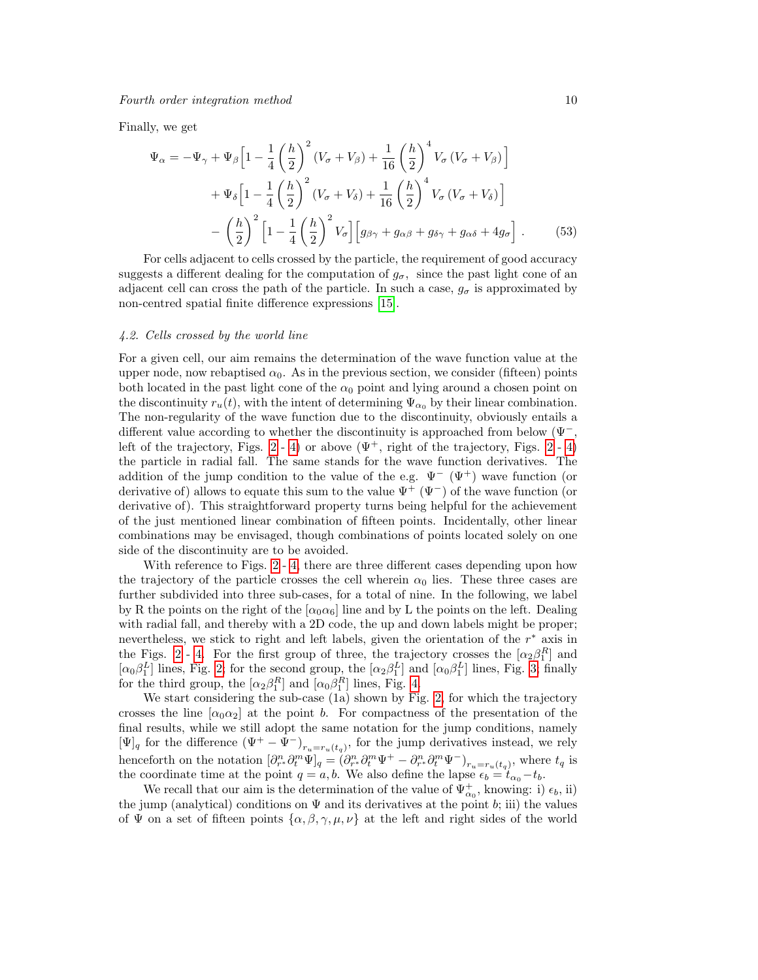Finally, we get

$$
\Psi_{\alpha} = -\Psi_{\gamma} + \Psi_{\beta} \left[ 1 - \frac{1}{4} \left( \frac{h}{2} \right)^2 (V_{\sigma} + V_{\beta}) + \frac{1}{16} \left( \frac{h}{2} \right)^4 V_{\sigma} (V_{\sigma} + V_{\beta}) \right] \n+ \Psi_{\delta} \left[ 1 - \frac{1}{4} \left( \frac{h}{2} \right)^2 (V_{\sigma} + V_{\delta}) + \frac{1}{16} \left( \frac{h}{2} \right)^4 V_{\sigma} (V_{\sigma} + V_{\delta}) \right] \n- \left( \frac{h}{2} \right)^2 \left[ 1 - \frac{1}{4} \left( \frac{h}{2} \right)^2 V_{\sigma} \right] \left[ g_{\beta \gamma} + g_{\alpha \beta} + g_{\delta \gamma} + g_{\alpha \delta} + 4 g_{\sigma} \right].
$$
\n(53)

For cells adjacent to cells crossed by the particle, the requirement of good accuracy suggests a different dealing for the computation of  $g_{\sigma}$ , since the past light cone of an adjacent cell can cross the path of the particle. In such a case,  $g_{\sigma}$  is approximated by non-centred spatial finite difference expressions [\[15\]](#page-22-3).

#### 4.2. Cells crossed by the world line

For a given cell, our aim remains the determination of the wave function value at the upper node, now rebaptised  $\alpha_0$ . As in the previous section, we consider (fifteen) points both located in the past light cone of the  $\alpha_0$  point and lying around a chosen point on the discontinuity  $r_u(t)$ , with the intent of determining  $\Psi_{\alpha_0}$  by their linear combination. The non-regularity of the wave function due to the discontinuity, obviously entails a different value according to whether the discontinuity is approached from below ( $\Psi$ <sup>-</sup>, left of the trajectory, Figs. [2](#page-11-0) - [4\)](#page-13-0) or above  $(\Psi^+, \text{ right of the trajectory, Figs. 2 - 4})$ the particle in radial fall. The same stands for the wave function derivatives. The addition of the jump condition to the value of the e.g.  $\Psi^{-}(\Psi^{+})$  wave function (or derivative of) allows to equate this sum to the value  $\Psi^+$  ( $\Psi^-$ ) of the wave function (or derivative of). This straightforward property turns being helpful for the achievement of the just mentioned linear combination of fifteen points. Incidentally, other linear combinations may be envisaged, though combinations of points located solely on one side of the discontinuity are to be avoided.

With reference to Figs. [2](#page-11-0) - [4,](#page-13-0) there are three different cases depending upon how the trajectory of the particle crosses the cell wherein  $\alpha_0$  lies. These three cases are further subdivided into three sub-cases, for a total of nine. In the following, we label by R the points on the right of the  $\alpha_0 \alpha_6$  line and by L the points on the left. Dealing with radial fall, and thereby with a 2D code, the up and down labels might be proper; nevertheless, we stick to right and left labels, given the orientation of the  $r^*$  axis in the Figs. [2](#page-11-0) - [4.](#page-13-0) For the first group of three, the trajectory crosses the  $[\alpha_2 \beta_1^R]$  and  $[\alpha_0 \beta_1^L]$  lines, Fig. [2;](#page-11-0) for the second group, the  $[\alpha_2 \beta_1^L]$  and  $[\alpha_0 \beta_1^L]$  lines, Fig. [3;](#page-12-0) finally for the third group, the  $\left[\alpha_2 \beta_1^R\right]$  and  $\left[\alpha_0 \beta_1^R\right]$  lines, Fig. [4.](#page-13-0)

We start considering the sub-case (1a) shown by Fig. [2,](#page-11-0) for which the trajectory crosses the line  $[\alpha_0 \alpha_2]$  at the point b. For compactness of the presentation of the final results, while we still adopt the same notation for the jump conditions, namely  $[\Psi]_q$  for the difference  $(\Psi^+ - \Psi^-)_{r_u = r_u(t_q)}$ , for the jump derivatives instead, we rely henceforth on the notation  $\left[\partial_{r^*}^n \partial_t^m \Psi\right]_q = \left(\partial_{r^*}^n \partial_t^m \Psi^+ - \partial_{r^*}^n \partial_t^m \Psi^-\right)_{r_u = r_u(t_q)}$ , where  $t_q$  is the coordinate time at the point  $q = a, b$ . We also define the lapse  $\epsilon_b = t_{\alpha_0} - t_b$ .

We recall that our aim is the determination of the value of  $\Psi^+_{\alpha_0}$ , knowing: i)  $\epsilon_b$ , ii) the jump (analytical) conditions on  $\Psi$  and its derivatives at the point b; iii) the values of  $\Psi$  on a set of fifteen points  $\{\alpha, \beta, \gamma, \mu, \nu\}$  at the left and right sides of the world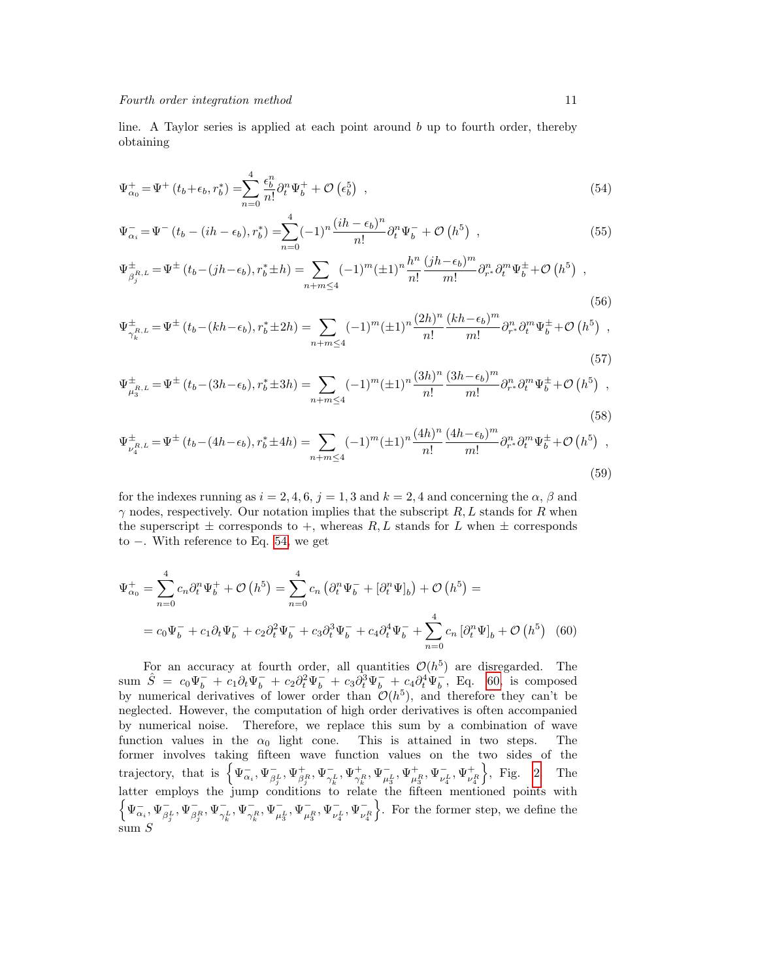line. A Taylor series is applied at each point around  $b$  up to fourth order, thereby obtaining

<span id="page-10-0"></span>
$$
\Psi_{\alpha_0}^+ = \Psi^+ \left( t_b + \epsilon_b, r_b^* \right) = \sum_{n=0}^4 \frac{\epsilon_b^n}{n!} \partial_t^n \Psi_b^+ + \mathcal{O}\left(\epsilon_b^5\right) , \qquad (54)
$$

$$
\Psi_{\alpha_i}^- = \Psi^-(t_b - (ih - \epsilon_b), r_b^*) = \sum_{n=0}^4 (-1)^n \frac{(ih - \epsilon_b)^n}{n!} \partial_t^n \Psi_b^- + \mathcal{O}\left(h^5\right) ,\qquad (55)
$$

$$
\Psi_{\beta_j^{R,L}}^{\pm} = \Psi^{\pm}(t_b - (jh - \epsilon_b), r_b^* \pm h) = \sum_{n+m \le 4} (-1)^m (\pm 1)^n \frac{h^n}{n!} \frac{(jh - \epsilon_b)^m}{m!} \partial_{r^*}^n \partial_t^m \Psi_b^{\pm} + \mathcal{O}\left(h^5\right) ,
$$
\n(56)

$$
\Psi_{\gamma_k^{R,L}}^{\pm} = \Psi^{\pm}(t_b - (kh - \epsilon_b), r_b^{\pm} \pm 2h) = \sum_{n + m \le 4} (-1)^m (\pm 1)^n \frac{(2h)^n}{n!} \frac{(kh - \epsilon_b)^m}{m!} \partial_{r^*}^n \partial_t^m \Psi_b^{\pm} + \mathcal{O}\left(h^5\right) ,
$$
\n(57)

$$
\Psi_{\mu_3^{R,L}}^{\pm} = \Psi^{\pm} (t_b - (3h - \epsilon_b), r_b^{\ast} \pm 3h) = \sum_{n + m \le 4} (-1)^m (\pm 1)^n \frac{(3h)^n}{n!} \frac{(3h - \epsilon_b)^m}{m!} \partial_{r^{\ast}}^n \partial_t^m \Psi_b^{\pm} + \mathcal{O} \left( h^5 \right) ,
$$
\n(58)

$$
\Psi_{\nu_4^{R,L}}^{\pm} = \Psi^{\pm} (t_b - (4h - \epsilon_b), r_b^{\pm} \pm 4h) = \sum_{n+m \le 4} (-1)^m (\pm 1)^n \frac{(4h)^n}{n!} \frac{(4h - \epsilon_b)^m}{m!} \partial_{r^*}^n \partial_t^m \Psi_b^{\pm} + \mathcal{O} \left( h^5 \right) ,
$$
\n(59)

for the indexes running as  $i = 2, 4, 6, j = 1, 3$  and  $k = 2, 4$  and concerning the  $\alpha$ ,  $\beta$  and  $\gamma$  nodes, respectively. Our notation implies that the subscript R, L stands for R when the superscript  $\pm$  corresponds to  $+$ , whereas R, L stands for L when  $\pm$  corresponds to −. With reference to Eq. [54,](#page-10-0) we get

<span id="page-10-1"></span>
$$
\Psi_{\alpha_0}^+ = \sum_{n=0}^4 c_n \partial_t^n \Psi_b^+ + \mathcal{O}\left(h^5\right) = \sum_{n=0}^4 c_n \left(\partial_t^n \Psi_b^- + [\partial_t^n \Psi_b]\right) + \mathcal{O}\left(h^5\right) =
$$
\n
$$
= c_0 \Psi_b^- + c_1 \partial_t \Psi_b^- + c_2 \partial_t^2 \Psi_b^- + c_3 \partial_t^3 \Psi_b^- + c_4 \partial_t^4 \Psi_b^- + \sum_{n=0}^4 c_n \left[\partial_t^n \Psi_b\right]_b + \mathcal{O}\left(h^5\right) \tag{60}
$$

For an accuracy at fourth order, all quantities  $\mathcal{O}(h^5)$  are disregarded. The sum  $\hat{S} = c_0 \Psi_b^- + c_1 \partial_t \Psi_b^- + c_2 \partial_t^2 \Psi_b^- + c_3 \partial_t^3 \Psi_b^- + c_4 \partial_t^4 \Psi_b^-, \text{ Eq. 60, is composed}$  $\hat{S} = c_0 \Psi_b^- + c_1 \partial_t \Psi_b^- + c_2 \partial_t^2 \Psi_b^- + c_3 \partial_t^3 \Psi_b^- + c_4 \partial_t^4 \Psi_b^-, \text{ Eq. 60, is composed}$  $\hat{S} = c_0 \Psi_b^- + c_1 \partial_t \Psi_b^- + c_2 \partial_t^2 \Psi_b^- + c_3 \partial_t^3 \Psi_b^- + c_4 \partial_t^4 \Psi_b^-, \text{ Eq. 60, is composed}$ by numerical derivatives of lower order than  $\mathcal{O}(h^5)$ , and therefore they can't be neglected. However, the computation of high order derivatives is often accompanied by numerical noise. Therefore, we replace this sum by a combination of wave function values in the  $\alpha_0$  light cone. This is attained in two steps. The former involves taking fifteen wave function values on the two sides of the trajectory, that is  $\left\{\Psi_{\alpha_i}^-, \Psi_{\beta_i}^-\right\}$  $_{\beta_i^L}^-,\Psi^+_{\beta_i^R},\Psi^-_{\gamma_i^L}$  $\frac{1}{\gamma^L_k}, \Psi^+_{\gamma^R_k}, \Psi^-_{\mu^L_3}, \Psi^+_{\mu^R_3}, \Psi^-_{\nu^L_4}$  $^{-}_{\nu_4^{L}},\Psi^+_{\nu_4^{R}}$  $\}$ , Fig. [2.](#page-11-0) The latter employs the jump conditions to relate the fifteen mentioned points with  $\left\{\Psi_{\alpha_i}^-, \Psi_{\beta_i}^-\right\}$  $\frac{1}{\beta_j^L}, \Psi_{\beta_j^R}^-, \Psi_{\gamma_j^L}^ \frac{1}{\gamma_k^L}, \Psi^-_{\gamma_k^R}, \Psi^-_{\mu_3^L}, \Psi^-_{\mu_3^R}, \Psi^-_{\nu_4^L}$  $^{-}_{\nu_4^L}, \Psi^{-}_{\nu_4^R}$ o . For the former step, we define the sum S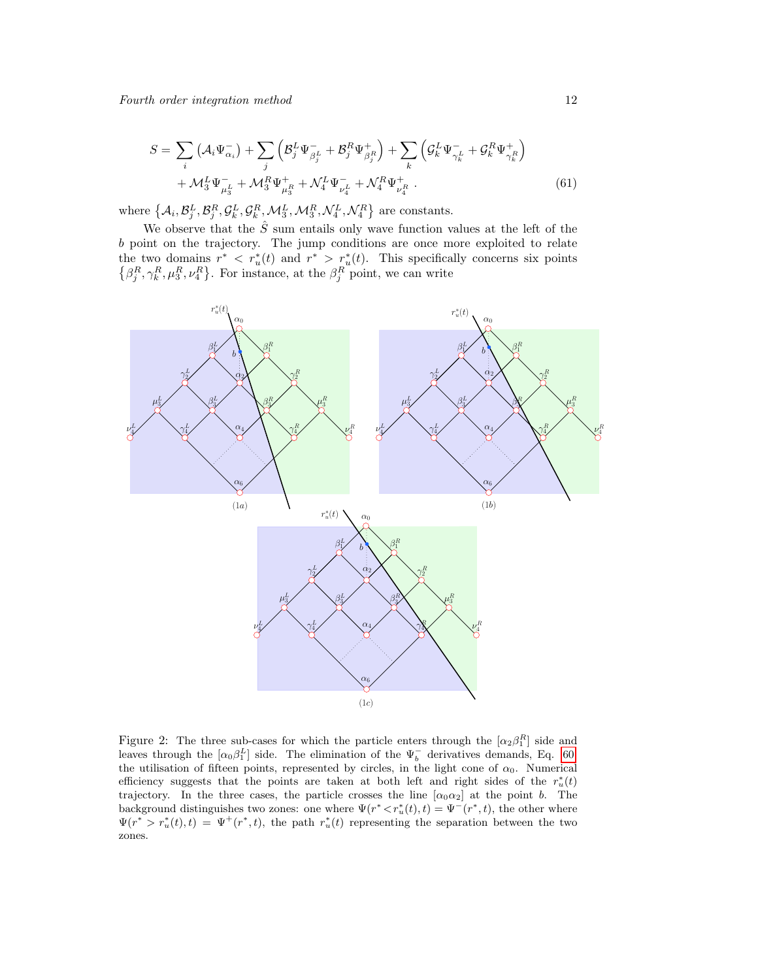<span id="page-11-1"></span>
$$
S = \sum_{i} \left( \mathcal{A}_{i} \Psi_{\alpha_{i}}^{-} \right) + \sum_{j} \left( \mathcal{B}_{j}^{L} \Psi_{\beta_{j}^{L}}^{-} + \mathcal{B}_{j}^{R} \Psi_{\beta_{j}^{R}}^{+} \right) + \sum_{k} \left( \mathcal{G}_{k}^{L} \Psi_{\gamma_{k}^{L}}^{-} + \mathcal{G}_{k}^{R} \Psi_{\gamma_{k}^{R}}^{+} \right) + \mathcal{M}_{3}^{L} \Psi_{\mu_{3}^{L}}^{-} + \mathcal{M}_{3}^{R} \Psi_{\mu_{3}^{R}}^{+} + \mathcal{N}_{4}^{L} \Psi_{\mu_{4}^{L}}^{-} + \mathcal{N}_{4}^{R} \Psi_{\nu_{4}^{R}}^{+} \tag{61}
$$

where  $\left\{ \mathcal{A}_i, \mathcal{B}_j^L, \mathcal{B}_j^R, \mathcal{G}_k^L, \mathcal{G}_k^R, \mathcal{M}_3^L, \mathcal{M}_3^R, \mathcal{N}_4^L, \mathcal{N}_4^R \right\}$  are constants.

We observe that the  $\hat{S}$  sum entails only wave function values at the left of the b point on the trajectory. The jump conditions are once more exploited to relate the two domains  $r^* \leq r_u^*(t)$  and  $r^* \geq r_u^*(t)$ . This specifically concerns six points  $\{\beta_j^R, \gamma_k^R, \mu_3^R, \nu_4^R\}$ . For instance, at the  $\beta_j^R$  point, we can write

<span id="page-11-0"></span>

Figure 2: The three sub-cases for which the particle enters through the  $[\alpha_2 \beta_1^R]$  side and leaves through the  $\left[\alpha_0 \beta_1^L\right]$  side. The elimination of the  $\Psi_b^-$  derivatives demands, Eq. [60,](#page-10-1) the utilisation of fifteen points, represented by circles, in the light cone of  $\alpha_0$ . Numerical efficiency suggests that the points are taken at both left and right sides of the  $r_u^*(t)$ trajectory. In the three cases, the particle crosses the line  $[\alpha_0 \alpha_2]$  at the point b. The background distinguishes two zones: one where  $\Psi(r^* < r_u^*(t), t) = \Psi^-(r^*, t)$ , the other where  $\Psi(r^* > r_u^*(t), t) = \Psi^+(r^*, t)$ , the path  $r_u^*(t)$  representing the separation between the two zones.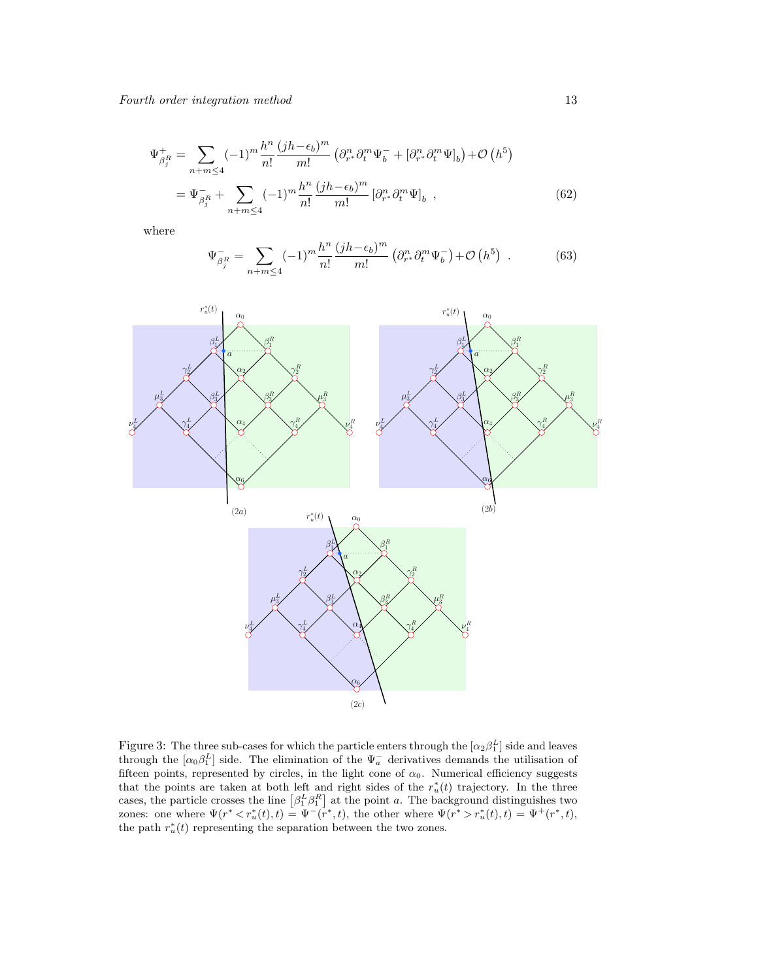<span id="page-12-1"></span>
$$
\Psi_{\beta_j^R}^+ = \sum_{n+m \le 4} (-1)^m \frac{h^n}{n!} \frac{(jh - \epsilon_b)^m}{m!} \left( \partial_{r^*}^n \partial_t^m \Psi_b^- + [\partial_{r^*}^n \partial_t^m \Psi_b] \right) + \mathcal{O}\left(h^5\right)
$$

$$
= \Psi_{\beta_j^R}^- + \sum_{n+m \le 4} (-1)^m \frac{h^n}{n!} \frac{(jh - \epsilon_b)^m}{m!} \left[ \partial_{r^*}^n \partial_t^m \Psi \right]_b , \qquad (62)
$$

where

<span id="page-12-2"></span>
$$
\Psi_{\beta_j^R}^- = \sum_{n+m \le 4} (-1)^m \frac{h^n}{n!} \frac{(jh - \epsilon_b)^m}{m!} \left( \partial_{r^*}^n \partial_t^m \Psi_b^-\right) + \mathcal{O}\left(h^5\right) \tag{63}
$$

<span id="page-12-0"></span>

Figure 3: The three sub-cases for which the particle enters through the  $[\alpha_2 \beta_1^L]$  side and leaves through the  $\left[\alpha_0 \beta_1^L\right]$  side. The elimination of the  $\Psi_a^-$  derivatives demands the utilisation of fifteen points, represented by circles, in the light cone of  $\alpha_0$ . Numerical efficiency suggests that the points are taken at both left and right sides of the  $r_u^*(t)$  trajectory. In the three cases, the particle crosses the line  $\left[\beta_1^L \beta_1^R\right]$  at the point a. The background distinguishes two zones: one where  $\Psi(r^* < r_u^*(t), t) = \Psi^-(r^*, t)$ , the other where  $\Psi(r^* > r_u^*(t), t) = \Psi^+(r^*, t)$ , the path  $r_u^*(t)$  representing the separation between the two zones.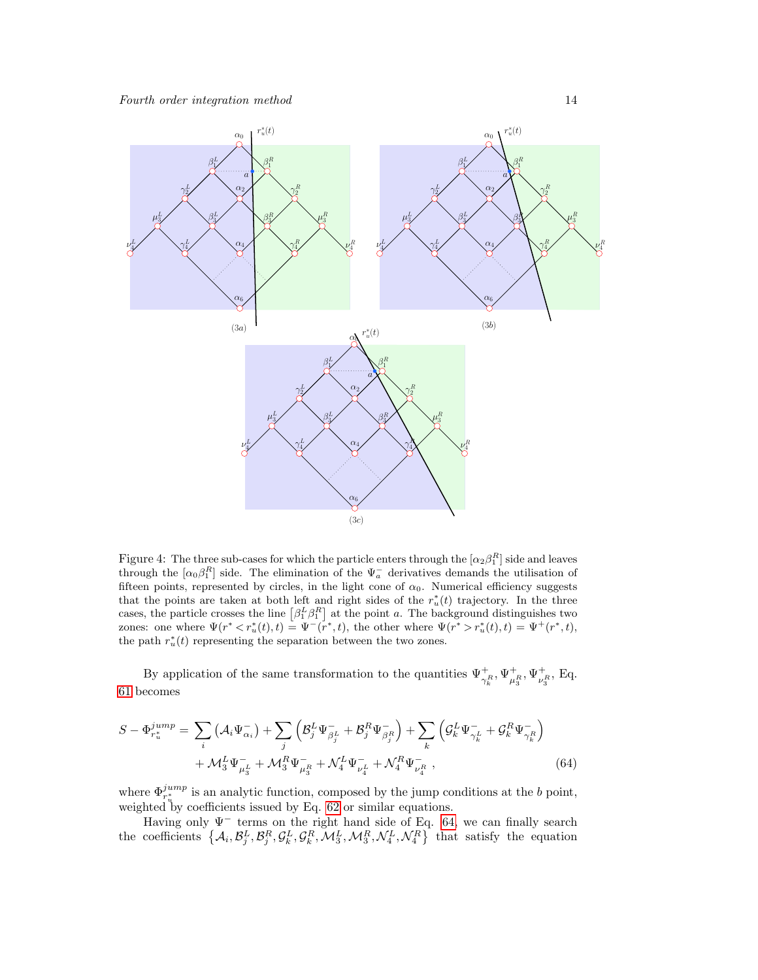<span id="page-13-0"></span>

Figure 4: The three sub-cases for which the particle enters through the  $[\alpha_2 \beta_1^R]$  side and leaves through the  $[\alpha_0 \beta_1^R]$  side. The elimination of the  $\Psi_a^-$  derivatives demands the utilisation of fifteen points, represented by circles, in the light cone of  $\alpha_0$ . Numerical efficiency suggests that the points are taken at both left and right sides of the  $r_u^*(t)$  trajectory. In the three cases, the particle crosses the line  $\left[\beta_1^L \beta_1^R\right]$  at the point a. The background distinguishes two zones: one where  $\Psi(r^* < r_u^*(t), t) = \Psi^-(r^*, t)$ , the other where  $\Psi(r^* > r_u^*(t), t) = \Psi^+(r^*, t)$ , the path  $r_u^*(t)$  representing the separation between the two zones.

By application of the same transformation to the quantities  $\Psi^+_{\gamma^R_k}, \Psi^+_{\mu^R_3}, \Psi^+_{\nu^R_3}, \text{Eq.}$ [61](#page-11-1) becomes

<span id="page-13-1"></span>
$$
S - \Phi_{r_u^*}^{jump} = \sum_i (\mathcal{A}_i \Psi_{\alpha_i}^-) + \sum_j \left( \mathcal{B}_j^L \Psi_{\beta_j^L}^- + \mathcal{B}_j^R \Psi_{\beta_j^R}^- \right) + \sum_k \left( \mathcal{G}_k^L \Psi_{\gamma_k^L}^- + \mathcal{G}_k^R \Psi_{\gamma_k^R}^- \right) + \mathcal{M}_3^L \Psi_{\mu_3^L}^- + \mathcal{M}_3^R \Psi_{\mu_3^R}^- + \mathcal{N}_4^L \Psi_{\nu_4^L}^- + \mathcal{N}_4^R \Psi_{\nu_4^R}^- \,,
$$
(64)

where  $\Phi_{r_v^*}^{jump}$  is an analytic function, composed by the jump conditions at the b point, weighted by coefficients issued by Eq. [62](#page-12-1) or similar equations.

Having only  $\Psi^-$  terms on the right hand side of Eq. [64,](#page-13-1) we can finally search the coefficients  $\{A_i, B_j^L, B_i^R, G_k^L, G_k^R, \mathcal{M}_3^L, \mathcal{M}_3^R, \mathcal{N}_4^L, \mathcal{N}_4^R\}$  that satisfy the equation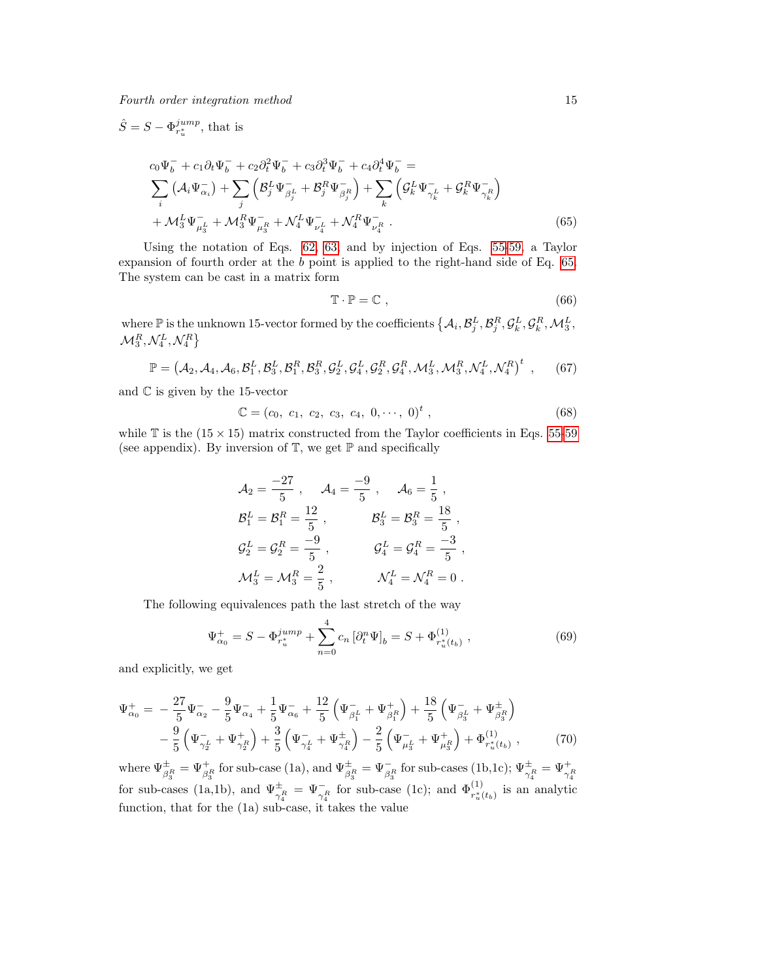<span id="page-14-0"></span>
$$
\hat{S} = S - \Phi_{r_u^*}^{jump}, \text{ that is}
$$
\n
$$
c_0 \Psi_b^- + c_1 \partial_t \Psi_b^- + c_2 \partial_t^2 \Psi_b^- + c_3 \partial_t^3 \Psi_b^- + c_4 \partial_t^4 \Psi_b^- =
$$
\n
$$
\sum_i \left( \mathcal{A}_i \Psi_{\alpha_i}^- \right) + \sum_j \left( \mathcal{B}_j^L \Psi_{\beta_j^L}^- + \mathcal{B}_j^R \Psi_{\beta_j^R}^- \right) + \sum_k \left( \mathcal{G}_k^L \Psi_{\gamma_k^L}^- + \mathcal{G}_k^R \Psi_{\gamma_k^R}^- \right)
$$
\n
$$
+ \mathcal{M}_3^L \Psi_{\mu_3^L}^- + \mathcal{M}_3^R \Psi_{\mu_3^R}^- + \mathcal{N}_4^L \Psi_{\nu_4^L}^- + \mathcal{N}_4^R \Psi_{\nu_4^R}^- \,. \tag{65}
$$

Using the notation of Eqs. [62,](#page-12-1) [63,](#page-12-2) and by injection of Eqs. [55-59,](#page-10-0) a Taylor expansion of fourth order at the b point is applied to the right-hand side of Eq. [65.](#page-14-0) The system can be cast in a matrix form

$$
\mathbb{T} \cdot \mathbb{P} = \mathbb{C} \tag{66}
$$

where  $\mathbb{P}$  is the unknown 15-vector formed by the coefficients  $\{\mathcal{A}_i, \mathcal{B}_j^L, \mathcal{B}_j^R, \mathcal{G}_k^L, \mathcal{G}_k^R, \mathcal{M}_3^L, \mathcal{B}_k^R, \mathcal{G}_k^R, \mathcal{B}_k^L, \mathcal{B}_k^R, \mathcal{B}_k^L, \mathcal{B}_k^R, \mathcal{B}_k^L, \mathcal{B}_k^R, \mathcal{B}_k^L, \mathcal{$  $\mathcal{M}^R_3, \mathcal{N}^L_4, \mathcal{N}^R_4\}$ 

$$
\mathbb{P} = (A_2, A_4, A_6, B_1^L, B_3^L, B_1^R, B_3^R, G_2^L, G_4^L, G_2^R, G_4^R, \mathcal{M}_3^L, \mathcal{M}_3^R, \mathcal{N}_4^L, \mathcal{N}_4^R)^t ,\qquad(67)
$$

and  $\mathbb C$  is given by the 15-vector

$$
\mathbb{C} = (c_0, c_1, c_2, c_3, c_4, 0, \cdots, 0)^t, \tag{68}
$$

while  $\mathbb T$  is the (15  $\times$  15) matrix constructed from the Taylor coefficients in Eqs. [55-59](#page-10-0) (see appendix). By inversion of  $\mathbb{T}$ , we get  $\mathbb{P}$  and specifically

$$
\mathcal{A}_2 = \frac{-27}{5}, \quad \mathcal{A}_4 = \frac{-9}{5}, \quad \mathcal{A}_6 = \frac{1}{5},
$$
  
\n
$$
\mathcal{B}_1^L = \mathcal{B}_1^R = \frac{12}{5}, \quad \mathcal{B}_3^L = \mathcal{B}_3^R = \frac{18}{5},
$$
  
\n
$$
\mathcal{G}_2^L = \mathcal{G}_2^R = \frac{-9}{5}, \quad \mathcal{G}_4^L = \mathcal{G}_4^R = \frac{-3}{5},
$$
  
\n
$$
\mathcal{M}_3^L = \mathcal{M}_3^R = \frac{2}{5}, \quad \mathcal{N}_4^L = \mathcal{N}_4^R = 0.
$$

The following equivalences path the last stretch of the way

$$
\Psi_{\alpha_0}^+ = S - \Phi_{r_u^*}^{jump} + \sum_{n=0}^4 c_n \left[ \partial_t^n \Psi \right]_b = S + \Phi_{r_u^*(t_b)}^{(1)} \,, \tag{69}
$$

and explicitly, we get

$$
\Psi_{\alpha_0}^+ = -\frac{27}{5} \Psi_{\alpha_2}^- - \frac{9}{5} \Psi_{\alpha_4}^- + \frac{1}{5} \Psi_{\alpha_6}^- + \frac{12}{5} \left( \Psi_{\beta_1^L}^- + \Psi_{\beta_1^R}^+ \right) + \frac{18}{5} \left( \Psi_{\beta_3^L}^- + \Psi_{\beta_3^R}^+ \right) \n- \frac{9}{5} \left( \Psi_{\gamma_2^L}^- + \Psi_{\gamma_2^R}^+ \right) + \frac{3}{5} \left( \Psi_{\gamma_4^L}^- + \Psi_{\gamma_4^R}^+ \right) - \frac{2}{5} \left( \Psi_{\mu_3^L}^- + \Psi_{\mu_3^R}^+ \right) + \Phi_{r_u^*(t_b)}^{(1)} , \tag{70}
$$

where  $\Psi_{\beta_3^R}^{\pm} = \Psi_{\beta_3^R}^{\pm}$  for sub-case (1a), and  $\Psi_{\beta_3^R}^{\pm} = \Psi_{\beta_3^R}^-$  for sub-cases (1b,1c);  $\Psi_{\gamma_4^R}^{\pm} = \Psi_{\gamma_4^R}^{\pm}$  for sub-cases (1c); and  $\Phi_{r_u^*(t_b)}^{(1)}$  is an analytic function, that for the (1a) sub-case, it takes the value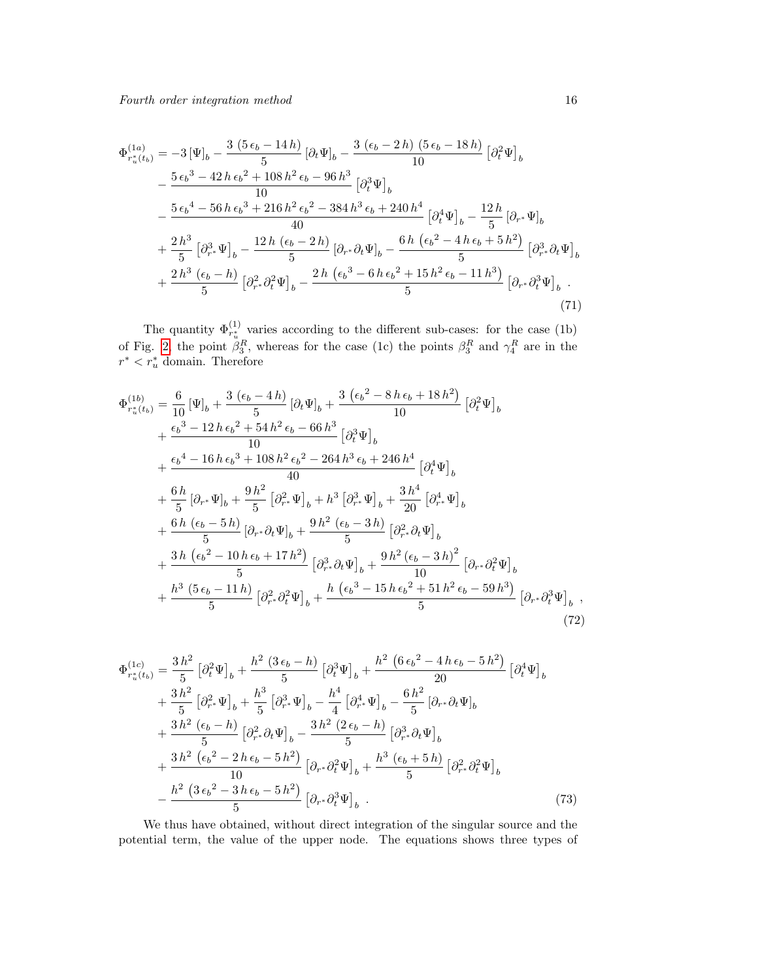$$
\Phi_{r_u^*(t_b)}^{(1a)} = -3 [\Psi]_b - \frac{3 (5 \epsilon_b - 14 h)}{5} [\partial_t \Psi]_b - \frac{3 (\epsilon_b - 2 h) (5 \epsilon_b - 18 h)}{10} [\partial_t^2 \Psi]_b \n- \frac{5 \epsilon_b^3 - 42 h \epsilon_b^2 + 108 h^2 \epsilon_b - 96 h^3}{10} [\partial_t^3 \Psi]_b \n- \frac{5 \epsilon_b^4 - 56 h \epsilon_b^3 + 216 h^2 \epsilon_b^2 - 384 h^3 \epsilon_b + 240 h^4}{40} [\partial_t^4 \Psi]_b - \frac{12 h}{5} [\partial_{r^*} \Psi]_b \n+ \frac{2 h^3}{5} [\partial_{r^*}^3 \Psi]_b - \frac{12 h (\epsilon_b - 2 h)}{5} [\partial_{r^*} \partial_t \Psi]_b - \frac{6 h (\epsilon_b^2 - 4 h \epsilon_b + 5 h^2)}{5} [\partial_{r^*}^3 \partial_t \Psi]_b \n+ \frac{2 h^3 (\epsilon_b - h)}{5} [\partial_{r^*}^2 \partial_t^2 \Psi]_b - \frac{2 h (\epsilon_b^3 - 6 h \epsilon_b^2 + 15 h^2 \epsilon_b - 11 h^3)}{5} [\partial_{r^*} \partial_t^3 \Psi]_b.
$$
\n(71)

The quantity  $\Phi_{r_u^*}^{(1)}$  varies according to the different sub-cases: for the case (1b) of Fig. [2,](#page-11-0) the point  $\beta_3^R$ , whereas for the case (1c) the points  $\beta_3^R$  and  $\gamma_4^R$  are in the  $r^* < r_u^*$  domain. Therefore

$$
\Phi_{r_u^*(t_b)}^{(1b)} = \frac{6}{10} [\Psi]_b + \frac{3 (\epsilon_b - 4h)}{5} [\partial_t \Psi]_b + \frac{3 (\epsilon_b^2 - 8h \epsilon_b + 18h^2)}{10} [\partial_t^2 \Psi]_b \n+ \frac{\epsilon_b^3 - 12h \epsilon_b^2 + 54h^2 \epsilon_b - 66h^3}{10} [\partial_t^3 \Psi]_b \n+ \frac{\epsilon_b^4 - 16h \epsilon_b^3 + 108h^2 \epsilon_b^2 - 264h^3 \epsilon_b + 246h^4}{40} [\partial_t^4 \Psi]_b \n+ \frac{6h}{5} [\partial_{r^*} \Psi]_b + \frac{9h^2}{5} [\partial_{r^*}^2 \Psi]_b + h^3 [\partial_{r^*}^3 \Psi]_b + \frac{3h^4}{20} [\partial_{r^*}^4 \Psi]_b \n+ \frac{6h (\epsilon_b - 5h)}{5} [\partial_{r^*} \partial_t \Psi]_b + \frac{9h^2 (\epsilon_b - 3h)}{5} [\partial_{r^*}^2 \partial_t \Psi]_b \n+ \frac{3h (\epsilon_b^2 - 10h \epsilon_b + 17h^2)}{5} [\partial_{r^*}^3 \partial_t \Psi]_b + \frac{9h^2 (\epsilon_b - 3h)^2}{10} [\partial_{r^*} \partial_t^2 \Psi]_b \n+ \frac{h^3 (5 \epsilon_b - 11h)}{5} [\partial_{r^*}^2 \partial_t^2 \Psi]_b + \frac{h (\epsilon_b^3 - 15h \epsilon_b^2 + 51h^2 \epsilon_b - 59h^3)}{5} [\partial_{r^*} \partial_t^3 \Psi]_b ,
$$
\n(72)

$$
\Phi_{r_u^*(t_b)}^{(1c)} = \frac{3 h^2}{5} \left[ \partial_t^2 \Psi \right]_b + \frac{h^2 (3 \epsilon_b - h)}{5} \left[ \partial_t^3 \Psi \right]_b + \frac{h^2 (6 \epsilon_b^2 - 4 h \epsilon_b - 5 h^2)}{20} \left[ \partial_t^4 \Psi \right]_b \n+ \frac{3 h^2}{5} \left[ \partial_{r^*}^2 \Psi \right]_b + \frac{h^3}{5} \left[ \partial_{r^*}^3 \Psi \right]_b - \frac{h^4}{4} \left[ \partial_{r^*}^4 \Psi \right]_b - \frac{6 h^2}{5} \left[ \partial_{r^*} \partial_t \Psi \right]_b \n+ \frac{3 h^2 (\epsilon_b - h)}{5} \left[ \partial_{r^*}^2 \partial_t \Psi \right]_b - \frac{3 h^2 (2 \epsilon_b - h)}{5} \left[ \partial_{r^*}^3 \partial_t \Psi \right]_b \n+ \frac{3 h^2 (\epsilon_b^2 - 2 h \epsilon_b - 5 h^2)}{10} \left[ \partial_{r^*} \partial_t^2 \Psi \right]_b + \frac{h^3 (\epsilon_b + 5 h)}{5} \left[ \partial_{r^*}^2 \partial_t^2 \Psi \right]_b \n- \frac{h^2 (3 \epsilon_b^2 - 3 h \epsilon_b - 5 h^2)}{5} \left[ \partial_{r^*} \partial_t^3 \Psi \right]_b . \tag{73}
$$

We thus have obtained, without direct integration of the singular source and the potential term, the value of the upper node. The equations shows three types of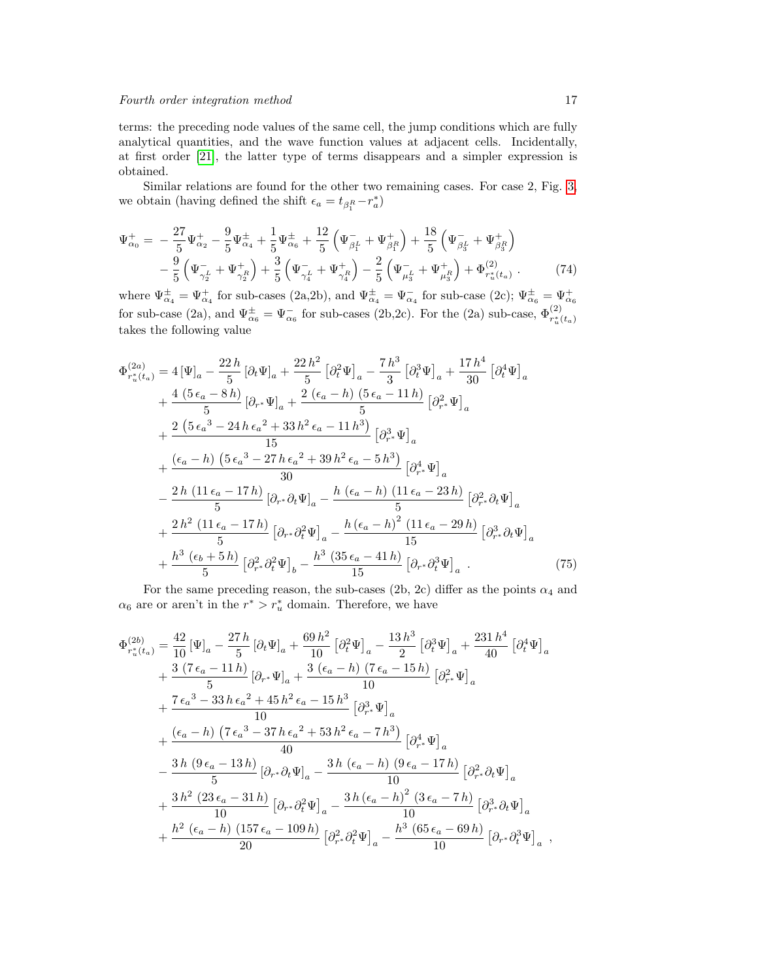terms: the preceding node values of the same cell, the jump conditions which are fully analytical quantities, and the wave function values at adjacent cells. Incidentally, at first order [\[21\]](#page-22-8), the latter type of terms disappears and a simpler expression is obtained.

Similar relations are found for the other two remaining cases. For case 2, Fig. [3,](#page-12-0) we obtain (having defined the shift  $\epsilon_a = t_{\beta_1^R} - r_a^*$ )

$$
\Psi_{\alpha_0}^+ = -\frac{27}{5} \Psi_{\alpha_2}^+ - \frac{9}{5} \Psi_{\alpha_4}^+ + \frac{1}{5} \Psi_{\alpha_6}^+ + \frac{12}{5} \left( \Psi_{\beta_1^L}^- + \Psi_{\beta_1^R}^+ \right) + \frac{18}{5} \left( \Psi_{\beta_3^L}^- + \Psi_{\beta_3^R}^+ \right) \n- \frac{9}{5} \left( \Psi_{\gamma_2^L}^- + \Psi_{\gamma_2^R}^+ \right) + \frac{3}{5} \left( \Psi_{\gamma_4^L}^- + \Psi_{\gamma_4^R}^+ \right) - \frac{2}{5} \left( \Psi_{\mu_3^L}^- + \Psi_{\mu_3^R}^+ \right) + \Phi_{r_u^*(t_\alpha)}^{(2)} . \tag{74}
$$

where  $\Psi_{\alpha_4}^{\pm} = \Psi_{\alpha_4}^+$  for sub-cases (2a,2b), and  $\Psi_{\alpha_4}^{\pm} = \Psi_{\alpha_4}^-$  for sub-case (2c);  $\Psi_{\alpha_6}^{\pm} = \Psi_{\alpha_6}^+$ for sub-case (2a), and  $\Psi^{\pm}_{\alpha_6} = \Psi^-_{\alpha_6}$  for sub-cases (2b,2c). For the (2a) sub-case,  $\Phi^{(2)}_{r_u^*(t_a)}$ takes the following value

$$
\Phi_{r_u^*(t_a)}^{(2a)} = 4 [\Psi]_a - \frac{22 h}{5} [\partial_t \Psi]_a + \frac{22 h^2}{5} [\partial_t^2 \Psi]_a - \frac{7 h^3}{3} [\partial_t^3 \Psi]_a + \frac{17 h^4}{30} [\partial_t^4 \Psi]_a \n+ \frac{4 (5 \epsilon_a - 8 h)}{5} [\partial_{r^*} \Psi]_a + \frac{2 (\epsilon_a - h) (5 \epsilon_a - 11 h)}{5} [\partial_{r^*}^2 \Psi]_a \n+ \frac{2 (5 \epsilon_a^3 - 24 h \epsilon_a^2 + 33 h^2 \epsilon_a - 11 h^3)}{15} [\partial_{r^*}^3 \Psi]_a \n+ \frac{(\epsilon_a - h) (5 \epsilon_a^3 - 27 h \epsilon_a^2 + 39 h^2 \epsilon_a - 5 h^3)}{30} [\partial_{r^*}^4 \Psi]_a \n- \frac{2 h (11 \epsilon_a - 17 h)}{5} [\partial_{r^*} \partial_t \Psi]_a - \frac{h (\epsilon_a - h) (11 \epsilon_a - 23 h)}{5} [\partial_{r^*}^2 \partial_t \Psi]_a \n+ \frac{2 h^2 (11 \epsilon_a - 17 h)}{5} [\partial_{r^*} \partial_t^2 \Psi]_a - \frac{h (\epsilon_a - h)^2 (11 \epsilon_a - 29 h)}{15} [\partial_{r^*}^3 \partial_t \Psi]_a \n+ \frac{h^3 (\epsilon_b + 5 h)}{5} [\partial_{r^*}^2 \partial_t^2 \Psi]_b - \frac{h^3 (35 \epsilon_a - 41 h)}{15} [\partial_{r^*} \partial_t^3 \Psi]_a.
$$
\n(75)

For the same preceding reason, the sub-cases (2b, 2c) differ as the points  $\alpha_4$  and  $\alpha_6$  are or aren't in the  $r^* > r_u^*$  domain. Therefore, we have

$$
\Phi_{r_u^*(t_a)}^{(2b)} = \frac{42}{10} [\Psi]_a - \frac{27 h}{5} [\partial_t \Psi]_a + \frac{69 h^2}{10} [\partial_t^2 \Psi]_a - \frac{13 h^3}{2} [\partial_t^3 \Psi]_a + \frac{231 h^4}{40} [\partial_t^4 \Psi]_a \n+ \frac{3 (7 \epsilon_a - 11 h)}{5} [\partial_{r^*} \Psi]_a + \frac{3 (\epsilon_a - h) (7 \epsilon_a - 15 h)}{10} [\partial_{r^*}^2 \Psi]_a \n+ \frac{7 \epsilon_a^3 - 33 h \epsilon_a^2 + 45 h^2 \epsilon_a - 15 h^3}{10} [\partial_{r^*}^3 \Psi]_a \n+ \frac{(\epsilon_a - h) (7 \epsilon_a^3 - 37 h \epsilon_a^2 + 53 h^2 \epsilon_a - 7 h^3)}{40} [\partial_{r^*}^4 \Psi]_a \n- \frac{3 h (9 \epsilon_a - 13 h)}{5} [\partial_{r^*} \partial_t \Psi]_a - \frac{3 h (\epsilon_a - h) (9 \epsilon_a - 17 h)}{10} [\partial_{r^*}^2 \partial_t \Psi]_a \n+ \frac{3 h^2 (23 \epsilon_a - 31 h)}{10} [\partial_{r^*} \partial_t^2 \Psi]_a - \frac{3 h (\epsilon_a - h)^2 (3 \epsilon_a - 7 h)}{10} [\partial_{r^*}^3 \partial_t \Psi]_a \n+ \frac{h^2 (\epsilon_a - h) (157 \epsilon_a - 109 h)}{20} [\partial_{r^*}^2 \partial_t^2 \Psi]_a - \frac{h^3 (65 \epsilon_a - 69 h)}{10} [\partial_{r^*} \partial_t^3 \Psi]_a ,
$$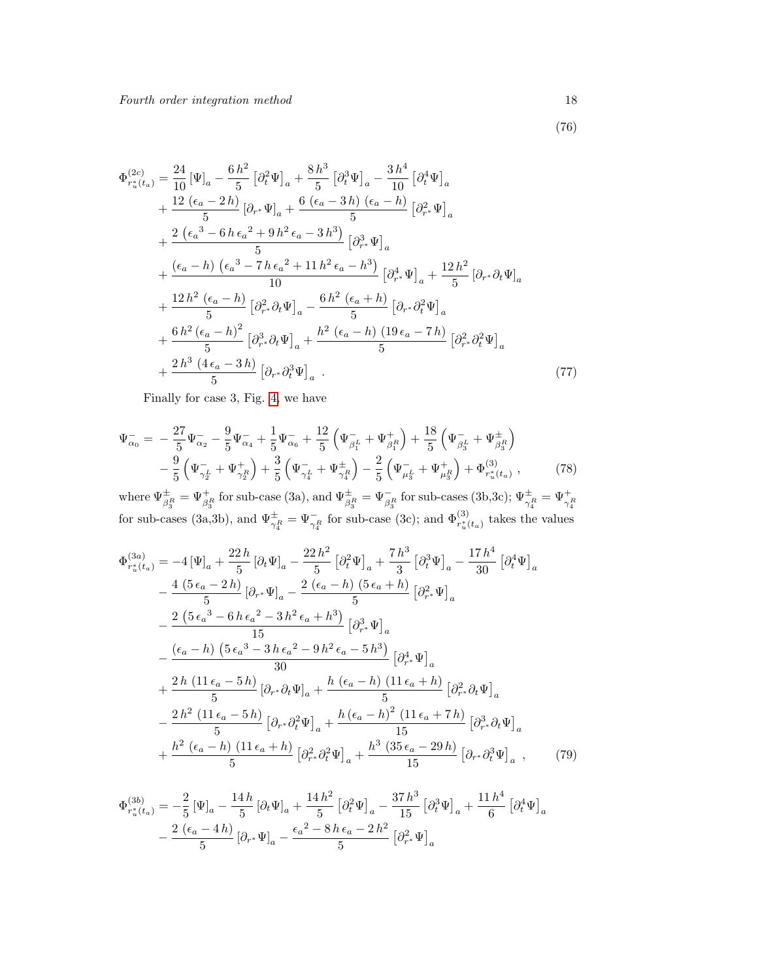(76)

$$
\Phi_{r_u^*(t_a)}^{(2c)} = \frac{24}{10} [\Psi]_a - \frac{6 h^2}{5} [\partial_t^2 \Psi]_a + \frac{8 h^3}{5} [\partial_t^3 \Psi]_a - \frac{3 h^4}{10} [\partial_t^4 \Psi]_a \n+ \frac{12 (\epsilon_a - 2 h)}{5} [\partial_{r^*} \Psi]_a + \frac{6 (\epsilon_a - 3 h) (\epsilon_a - h)}{5} [\partial_{r^*}^2 \Psi]_a \n+ \frac{2 (\epsilon_a^3 - 6 h \epsilon_a^2 + 9 h^2 \epsilon_a - 3 h^3)}{5} [\partial_{r^*}^3 \Psi]_a \n+ \frac{(\epsilon_a - h) (\epsilon_a^3 - 7 h \epsilon_a^2 + 11 h^2 \epsilon_a - h^3)}{10} [\partial_{r^*}^4 \Psi]_a + \frac{12 h^2}{5} [\partial_{r^*} \partial_t \Psi]_a \n+ \frac{12 h^2 (\epsilon_a - h)}{5} [\partial_{r^*}^2 \partial_t \Psi]_a - \frac{6 h^2 (\epsilon_a + h)}{5} [\partial_{r^*} \partial_t^2 \Psi]_a \n+ \frac{6 h^2 (\epsilon_a - h)^2}{5} [\partial_{r^*}^3 \partial_t \Psi]_a + \frac{h^2 (\epsilon_a - h) (19 \epsilon_a - 7 h)}{5} [\partial_{r^*}^2 \partial_t^2 \Psi]_a \n+ \frac{2 h^3 (4 \epsilon_a - 3 h)}{5} [\partial_{r^*} \partial_t^3 \Psi]_a . \tag{77}
$$

Finally for case 3, Fig. [4,](#page-13-0) we have

$$
\Psi_{\alpha_0}^- = -\frac{27}{5} \Psi_{\alpha_2}^- - \frac{9}{5} \Psi_{\alpha_4}^- + \frac{1}{5} \Psi_{\alpha_6}^- + \frac{12}{5} \left( \Psi_{\beta_1^L}^- + \Psi_{\beta_1^R}^+ \right) + \frac{18}{5} \left( \Psi_{\beta_3^L}^- + \Psi_{\beta_3^R}^+ \right) \n- \frac{9}{5} \left( \Psi_{\gamma_2^L}^- + \Psi_{\gamma_2^R}^+ \right) + \frac{3}{5} \left( \Psi_{\gamma_4^L}^- + \Psi_{\gamma_4^R}^+ \right) - \frac{2}{5} \left( \Psi_{\mu_3^L}^- + \Psi_{\mu_3^R}^+ \right) + \Phi_{r_u^*(t_{\alpha})}^{(3)},
$$
\n(78)

where  $\Psi_{\beta_3^R}^{\pm} = \Psi_{\beta_3^R}^{\pm}$  for sub-case (3a), and  $\Psi_{\beta_3^R}^{\pm} = \Psi_{\beta_3^R}^-$  for sub-cases (3b,3c);  $\Psi_{\gamma_4^R}^{\pm} = \Psi_{\gamma_4^R}^{\pm}$  for sub-cases (3a,3b), and  $\Psi_{\gamma_4^R}^{\pm} = \Psi_{\gamma_4^R}^-$  for sub-case (3c); a

$$
\Phi_{r_u^*(t_a)}^{(3a)} = -4 [\Psi]_a + \frac{22 h}{5} [\partial_t \Psi]_a - \frac{22 h^2}{5} [\partial_t^2 \Psi]_a + \frac{7 h^3}{3} [\partial_t^3 \Psi]_a - \frac{17 h^4}{30} [\partial_t^4 \Psi]_a \n- \frac{4 (5 \epsilon_a - 2 h)}{5} [\partial_{r^*} \Psi]_a - \frac{2 (\epsilon_a - h) (5 \epsilon_a + h)}{5} [\partial_{r^*}^2 \Psi]_a \n- \frac{2 (5 \epsilon_a^3 - 6 h \epsilon_a^2 - 3 h^2 \epsilon_a + h^3)}{15} [\partial_{r^*}^3 \Psi]_a \n- \frac{(\epsilon_a - h) (5 \epsilon_a^3 - 3 h \epsilon_a^2 - 9 h^2 \epsilon_a - 5 h^3)}{30} [\partial_{r^*}^4 \Psi]_a \n+ \frac{2 h (11 \epsilon_a - 5 h)}{5} [\partial_{r^*} \partial_t \Psi]_a + \frac{h (\epsilon_a - h) (11 \epsilon_a + h)}{5} [\partial_{r^*}^2 \partial_t \Psi]_a \n- \frac{2 h^2 (11 \epsilon_a - 5 h)}{5} [\partial_{r^*} \partial_t^2 \Psi]_a + \frac{h (\epsilon_a - h)^2 (11 \epsilon_a + 7 h)}{15} [\partial_{r^*}^3 \partial_t \Psi]_a \n+ \frac{h^2 (\epsilon_a - h) (11 \epsilon_a + h)}{5} [\partial_{r^*}^2 \partial_t^2 \Psi]_a + \frac{h^3 (35 \epsilon_a - 29 h)}{15} [\partial_{r^*} \partial_t^3 \Psi]_a , \qquad (79)
$$

$$
\Phi_{r_u^*(t_a)}^{(3b)} = -\frac{2}{5} \left[ \Psi_{a} - \frac{14 h}{5} \left[ \partial_t \Psi_{a} + \frac{14 h^2}{5} \left[ \partial_t^2 \Psi \right]_a - \frac{37 h^3}{15} \left[ \partial_t^3 \Psi \right]_a + \frac{11 h^4}{6} \left[ \partial_t^4 \Psi \right]_a \right. \\
- \frac{2 \left( \epsilon_a - 4 h \right)}{5} \left[ \partial_{r^*} \Psi \right]_a - \frac{\epsilon_a^2 - 8 h \epsilon_a - 2 h^2}{5} \left[ \partial_{r^*}^2 \Psi \right]_a
$$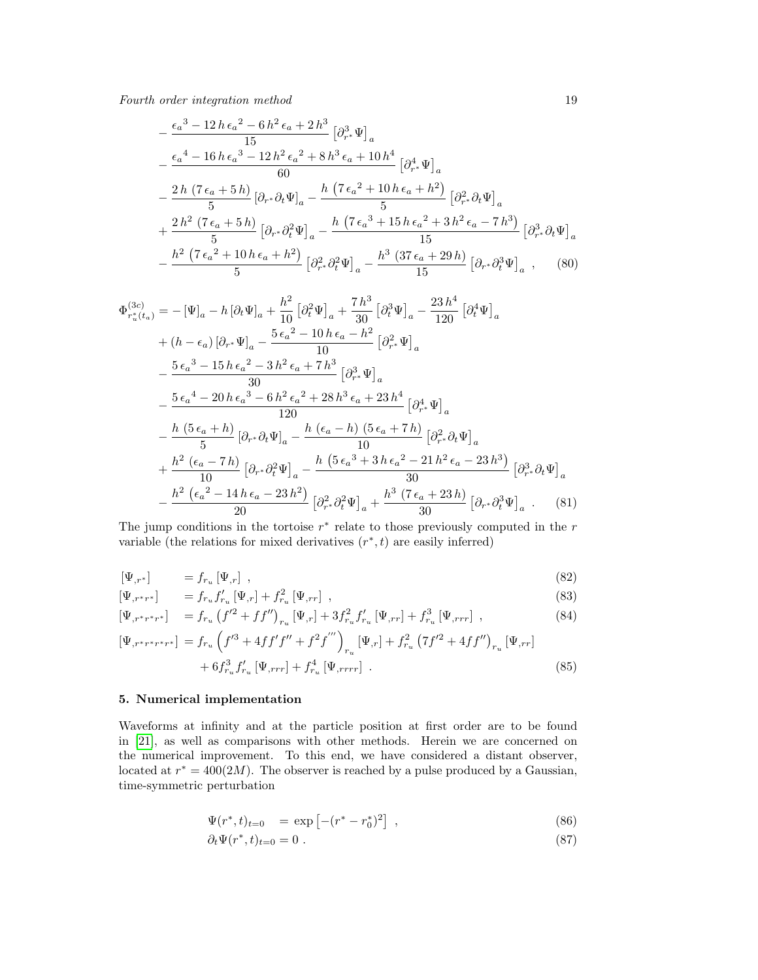$$
-\frac{\epsilon_a^{3} - 12 h \epsilon_a^{2} - 6 h^{2} \epsilon_a + 2 h^{3}}{15} \left[\partial_{r^*}^{3} \Psi\right]_a
$$
  
 
$$
-\frac{\epsilon_a^{4} - 16 h \epsilon_a^{3} - 12 h^{2} \epsilon_a^{2} + 8 h^{3} \epsilon_a + 10 h^{4}}{60} \left[\partial_{r^*}^{4} \Psi\right]_a
$$
  
 
$$
-\frac{2 h \left(7 \epsilon_a + 5 h\right)}{5} \left[\partial_{r^*} \partial_t \Psi\right]_a - \frac{h \left(7 \epsilon_a^{2} + 10 h \epsilon_a + h^{2}\right)}{5} \left[\partial_{r^*}^{2} \partial_t \Psi\right]_a
$$
  
 
$$
+\frac{2 h^{2} \left(7 \epsilon_a + 5 h\right)}{5} \left[\partial_{r^*} \partial_t^{2} \Psi\right]_a - \frac{h \left(7 \epsilon_a^{3} + 15 h \epsilon_a^{2} + 3 h^{2} \epsilon_a - 7 h^{3}\right)}{15} \left[\partial_{r^*}^{3} \partial_t \Psi\right]_a
$$
  
 
$$
-\frac{h^{2} \left(7 \epsilon_a^{2} + 10 h \epsilon_a + h^{2}\right)}{5} \left[\partial_{r^*}^{2} \partial_t^{2} \Psi\right]_a - \frac{h^{3} \left(37 \epsilon_a + 29 h\right)}{15} \left[\partial_{r^*} \partial_t^{3} \Psi\right]_a , \quad (80)
$$

$$
\Phi_{r_u^*(t_a)}^{(3c)} = -[\Psi]_a - h[\partial_t \Psi]_a + \frac{h^2}{10} [\partial_t^2 \Psi]_a + \frac{7h^3}{30} [\partial_t^3 \Psi]_a - \frac{23h^4}{120} [\partial_t^4 \Psi]_a
$$
  
+  $(h - \epsilon_a) [\partial_{r^*} \Psi]_a - \frac{5\epsilon_a^2 - 10h \epsilon_a - h^2}{10} [\partial_{r^*}^2 \Psi]_a$   

$$
- \frac{5\epsilon_a^3 - 15h \epsilon_a^2 - 3h^2 \epsilon_a + 7h^3}{30} [\partial_{r^*}^3 \Psi]_a
$$
  

$$
- \frac{5\epsilon_a^4 - 20h \epsilon_a^3 - 6h^2 \epsilon_a^2 + 28h^3 \epsilon_a + 23h^4}{120} [\partial_{r^*}^4 \Psi]_a
$$
  

$$
- \frac{h (5\epsilon_a + h)}{5} [\partial_{r^*} \partial_t \Psi]_a - \frac{h (\epsilon_a - h) (5\epsilon_a + 7h)}{10} [\partial_{r^*}^2 \partial_t \Psi]_a
$$
  
+ 
$$
\frac{h^2 (\epsilon_a - 7h)}{10} [\partial_{r^*} \partial_t^2 \Psi]_a - \frac{h (5\epsilon_a^3 + 3h \epsilon_a^2 - 21h^2 \epsilon_a - 23h^3)}{30} [\partial_{r^*}^3 \partial_t \Psi]_a
$$
  

$$
- \frac{h^2 (\epsilon_a^2 - 14h \epsilon_a - 23h^2)}{20} [\partial_{r^*}^2 \partial_t^2 \Psi]_a + \frac{h^3 (7\epsilon_a + 23h)}{30} [\partial_{r^*} \partial_t^3 \Psi]_a.
$$
 (81)

The jump conditions in the tortoise  $r^*$  relate to those previously computed in the  $r$ variable (the relations for mixed derivatives  $(r^*, t)$  are easily inferred)

$$
\left[\Psi_{,r^{*}}\right] \qquad \qquad = f_{r_{u}}\left[\Psi_{,r}\right] \;, \tag{82}
$$

$$
\left[\Psi_{,r^{*}r^{*}}\right] = f_{r_{u}}f'_{r_{u}}\left[\Psi_{,r}\right] + f_{r_{u}}^{2}\left[\Psi_{,rr}\right],\tag{83}
$$

$$
\left[\Psi_{,r^{*}r^{*}r^{*}}\right] = f_{r_{u}}\left(f'^{2} + ff''\right)_{r_{u}}\left[\Psi_{,r}\right] + 3f_{r_{u}}^{2}f'_{r_{u}}\left[\Psi_{,rr}\right] + f_{r_{u}}^{3}\left[\Psi_{,rrr}\right] ,\tag{84}
$$

$$
\left[\Psi_{,r^*r^*r^*r^*}\right] = f_{r_u} \left(f'^3 + 4ff'f'' + f^2f'''\right)_{r_u} \left[\Psi_{,r}\right] + f_{r_u}^2 \left(7f'^2 + 4ff''\right)_{r_u} \left[\Psi_{,rr}\right] + 6f_{r_u}^3 f'_{r_u} \left[\Psi_{,rrr}\right] + f_{r_u}^4 \left[\Psi_{,rrrr}\right] .
$$
\n(85)

## 5. Numerical implementation

Waveforms at infinity and at the particle position at first order are to be found in [\[21\]](#page-22-8), as well as comparisons with other methods. Herein we are concerned on the numerical improvement. To this end, we have considered a distant observer, located at  $r^* = 400(2M)$ . The observer is reached by a pulse produced by a Gaussian, time-symmetric perturbation

$$
\Psi(r^*,t)_{t=0} = \exp\left[-(r^* - r_0^*)^2\right] \,,\tag{86}
$$

$$
\partial_t \Psi(r^*,t)_{t=0} = 0 \tag{87}
$$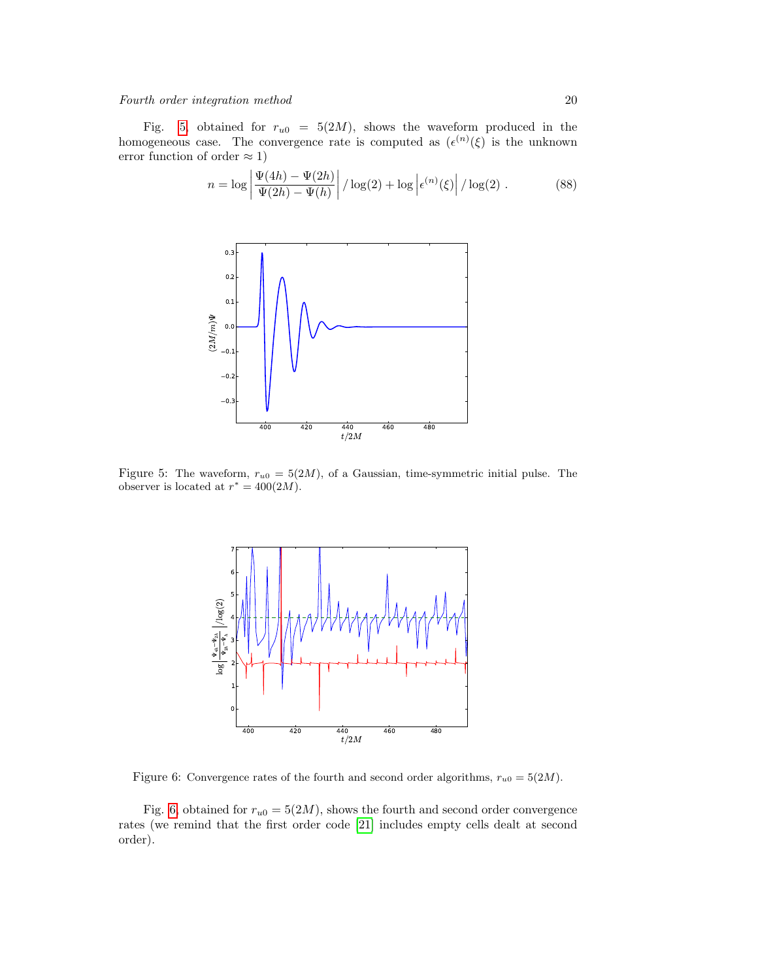Fig. [5,](#page-19-0) obtained for  $r_{u0} = 5(2M)$ , shows the waveform produced in the homogeneous case. The convergence rate is computed as  $(\epsilon^{(n)}(\xi))$  is the unknown error function of order  $\approx 1$ )

$$
n = \log \left| \frac{\Psi(4h) - \Psi(2h)}{\Psi(2h) - \Psi(h)} \right| / \log(2) + \log \left| \epsilon^{(n)}(\xi) \right| / \log(2) . \tag{88}
$$

<span id="page-19-0"></span>

<span id="page-19-1"></span>Figure 5: The waveform,  $r_{u0} = 5(2M)$ , of a Gaussian, time-symmetric initial pulse. The observer is located at  $r^* = 400(2M)$ .



Figure 6: Convergence rates of the fourth and second order algorithms,  $r_{u0} = 5(2M)$ .

Fig. [6,](#page-19-1) obtained for  $r_{u0} = 5(2M)$ , shows the fourth and second order convergence rates (we remind that the first order code [\[21\]](#page-22-8) includes empty cells dealt at second order).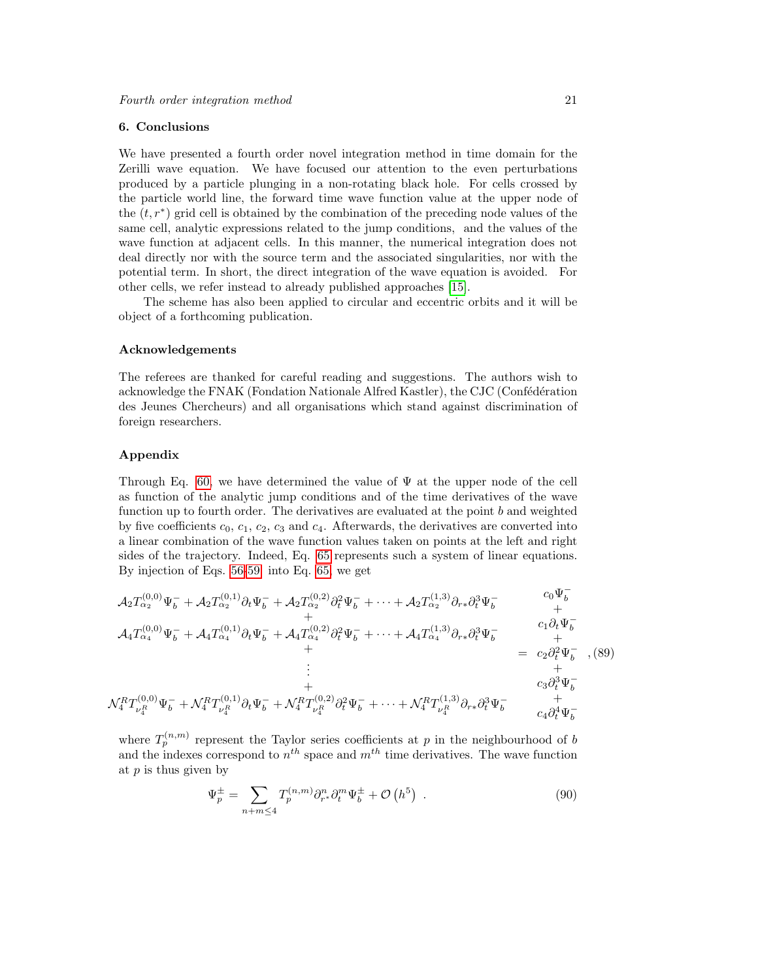## 6. Conclusions

We have presented a fourth order novel integration method in time domain for the Zerilli wave equation. We have focused our attention to the even perturbations produced by a particle plunging in a non-rotating black hole. For cells crossed by the particle world line, the forward time wave function value at the upper node of the  $(t, r^*)$  grid cell is obtained by the combination of the preceding node values of the same cell, analytic expressions related to the jump conditions, and the values of the wave function at adjacent cells. In this manner, the numerical integration does not deal directly nor with the source term and the associated singularities, nor with the potential term. In short, the direct integration of the wave equation is avoided. For other cells, we refer instead to already published approaches [\[15\]](#page-22-3).

The scheme has also been applied to circular and eccentric orbits and it will be object of a forthcoming publication.

#### Acknowledgements

The referees are thanked for careful reading and suggestions. The authors wish to acknowledge the FNAK (Fondation Nationale Alfred Kastler), the CJC (Confédération des Jeunes Chercheurs) and all organisations which stand against discrimination of foreign researchers.

## Appendix

Through Eq. [60,](#page-10-1) we have determined the value of  $\Psi$  at the upper node of the cell as function of the analytic jump conditions and of the time derivatives of the wave function up to fourth order. The derivatives are evaluated at the point  $b$  and weighted by five coefficients  $c_0$ ,  $c_1$ ,  $c_2$ ,  $c_3$  and  $c_4$ . Afterwards, the derivatives are converted into a linear combination of the wave function values taken on points at the left and right sides of the trajectory. Indeed, Eq. [65](#page-14-0) represents such a system of linear equations. By injection of Eqs. [56-59](#page-10-0) into Eq. [65,](#page-14-0) we get

$$
\mathcal{A}_{2}T_{\alpha_{2}}^{(0,0)}\Psi_{b}^{-} + \mathcal{A}_{2}T_{\alpha_{2}}^{(0,1)}\partial_{t}\Psi_{b}^{-} + \mathcal{A}_{2}T_{\alpha_{2}}^{(0,2)}\partial_{t}^{2}\Psi_{b}^{-} + \cdots + \mathcal{A}_{2}T_{\alpha_{2}}^{(1,3)}\partial_{r*}\partial_{t}^{3}\Psi_{b}^{-} \qquad \begin{array}{c} c_{0}\Psi_{b}^{-} \\ + \\ + \\ + \end{array} \n\mathcal{A}_{4}T_{\alpha_{4}}^{(0,0)}\Psi_{b}^{-} + \mathcal{A}_{4}T_{\alpha_{4}}^{(0,1)}\partial_{t}\Psi_{b}^{-} + \mathcal{A}_{4}T_{\alpha_{4}}^{(0,2)}\partial_{t}^{2}\Psi_{b}^{-} + \cdots + \mathcal{A}_{4}T_{\alpha_{4}}^{(1,3)}\partial_{r*}\partial_{t}^{3}\Psi_{b}^{-} \qquad \begin{array}{c} c_{0}\Psi_{b}^{-} \\ + \\ + \\ + \\ + \\ + \end{array} \n\mathcal{A}_{2}T_{\alpha_{2}}^{(0,0)}\Psi_{b}^{-} + \mathcal{A}_{4}T_{\alpha_{4}}^{(0,1)}\partial_{t}\Psi_{b}^{-} + \mathcal{A}_{4}T_{\alpha_{4}}^{(0,2)}\partial_{t}^{2}\Psi_{b}^{-} + \cdots + \mathcal{A}_{4}T_{\alpha_{4}}^{(1,3)}\partial_{r*}\partial_{t}^{3}\Psi_{b}^{-} \qquad \begin{array}{c} c_{0}\Psi_{b}^{-} \\ + \\ + \\ c_{3}\partial_{t}^{3}\Psi_{b}^{-} \\ + \\ c_{4}\partial_{t}^{4}\Psi_{b}^{-} \end{array} \qquad (89)
$$

where  $T_p^{(n,m)}$  represent the Taylor series coefficients at p in the neighbourhood of b and the indexes correspond to  $n^{th}$  space and  $m^{th}$  time derivatives. The wave function at  $p$  is thus given by

$$
\Psi_p^{\pm} = \sum_{n+m \leq 4} T_p^{(n,m)} \partial_{r^*}^n \partial_t^m \Psi_b^{\pm} + \mathcal{O}\left(h^5\right) \tag{90}
$$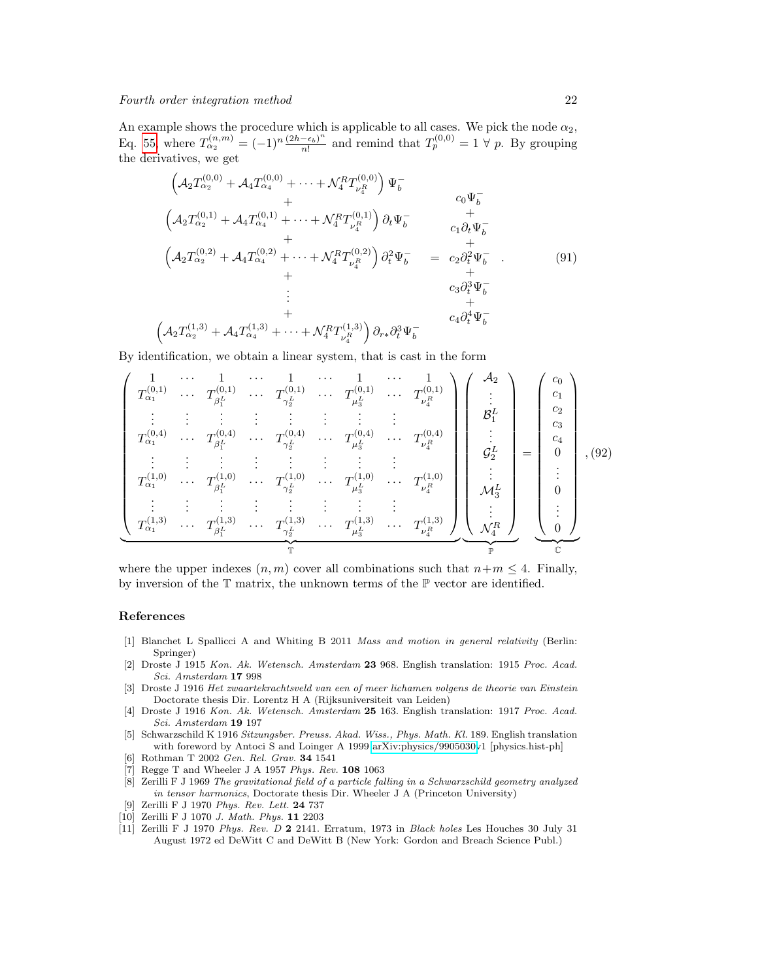An example shows the procedure which is applicable to all cases. We pick the node  $\alpha_2$ , Eq. [55,](#page-10-0) where  $T_{\alpha_2}^{(n,m)} = (-1)^n \frac{(2h - \epsilon_b)^n}{n!}$  $\frac{(-\epsilon_b)^n}{n!}$  and remind that  $T_p^{(0,0)} = 1 \forall p$ . By grouping the derivatives, we get

$$
\begin{aligned}\n\left(\mathcal{A}_{2}T_{\alpha_{2}}^{(0,0)} + \mathcal{A}_{4}T_{\alpha_{4}}^{(0,0)} + \cdots + \mathcal{N}_{4}^{R}T_{\nu_{4}^{R}}^{(0,0)}\right)\Psi_{b}^{-} \\
+ \\
\left(\mathcal{A}_{2}T_{\alpha_{2}}^{(0,1)} + \mathcal{A}_{4}T_{\alpha_{4}}^{(0,1)} + \cdots + \mathcal{N}_{4}^{R}T_{\nu_{4}^{R}}^{(0,1)}\right)\partial_{t}\Psi_{b}^{-} \\
+ \\
\left(\mathcal{A}_{2}T_{\alpha_{2}}^{(0,2)} + \mathcal{A}_{4}T_{\alpha_{4}}^{(0,2)} + \cdots + \mathcal{N}_{4}^{R}T_{\nu_{4}^{R}}^{(0,2)}\right)\partial_{t}^{2}\Psi_{b}^{-} & = c_{2}\partial_{t}^{2}\Psi_{b}^{-} .\n\end{aligned} \tag{91}
$$
\n
$$
\begin{aligned}\n&\vdots \\
\left(\mathcal{A}_{2}T_{\alpha_{2}}^{(1,3)} + \mathcal{A}_{4}T_{\alpha_{4}}^{(1,3)} + \cdots + \mathcal{N}_{4}^{R}T_{\nu_{4}^{R}}^{(1,3)}\right)\partial_{r}\partial_{t}^{3}\Psi_{b}^{-} \\
&\quad + c_{4}\partial_{t}^{4}\Psi_{b}^{-}\n\end{aligned}
$$

By identification, we obtain a linear system, that is cast in the form

$$
\begin{pmatrix}\n1 & \cdots & 1 & \cdots & 1 & \cdots & 1 & \cdots & 1 \\
T_{\alpha_1}^{(0,1)} & \cdots & T_{\beta_1^L}^{(0,1)} & \cdots & T_{\gamma_2^L}^{(0,1)} & \cdots & T_{\mu_3^L}^{(0,1)} & \cdots & T_{\nu_4^R}^{(0,1)} \\
\vdots & \vdots & \vdots & \vdots & \vdots & \vdots & \vdots & \vdots & \vdots \\
T_{\alpha_1}^{(0,4)} & \cdots & T_{\beta_1^L}^{(0,4)} & \cdots & T_{\gamma_2^L}^{(0,4)} & \cdots & T_{\mu_3^L}^{(0,4)} & \cdots & T_{\nu_4^R}^{(0,4)} \\
\vdots & \vdots & \vdots & \vdots & \vdots & \vdots & \vdots & \vdots \\
T_{\alpha_1}^{(1,0)} & \cdots & T_{\beta_1^L}^{(1,0)} & \cdots & T_{\gamma_2^L}^{(1,0)} & \cdots & T_{\mu_3^L}^{(1,0)} & \cdots & T_{\nu_4^R}^{(1,0)} \\
\vdots & \vdots & \vdots & \vdots & \vdots & \vdots & \vdots & \vdots \\
T_{\alpha_1}^{(1,3)} & \cdots & T_{\beta_1^L}^{(1,3)} & \cdots & T_{\gamma_2^L}^{(1,3)} & \cdots & T_{\mu_3^L}^{(1,3)} & \cdots & T_{\mu_4^L}^{(1,3)} \\
\end{pmatrix}\n\begin{pmatrix}\n\mathcal{A}_2 \\
\vdots \\
\mathcal{B}_1^L \\
\vdots \\
\mathcal{G}_2^L \\
\vdots \\
\mathcal{A}_4^L \\
\vdots \\
\mathcal{A}_5^L \\
\vdots \\
\mathcal{A}_6^L \\
\vdots \\
\mathcal{B}_7^L \\
\vdots \\
\mathcal{A}_8^L \\
\vdots \\
\mathcal{A}_9^L \\
\vdots \\
\mathcal{A}_1^L \\
\vdots \\
\mathcal{A}_2^L \\
\vdots \\
\mathcal{A}_3^L \\
\vdots \\
\mathcal{A}_4^L \\
\vdots \\
\mathcal{A}_5^L \\
\vdots \\
\mathcal{A}_6^L \\
\vdots \\
\mathcal{A}_7^L \\
\vdots \\
\mathcal{A}_8^L \\
\
$$

where the upper indexes  $(n, m)$  cover all combinations such that  $n+m \leq 4$ . Finally, by inversion of the  $T$  matrix, the unknown terms of the  $P$  vector are identified.

#### References

- <span id="page-21-0"></span>[1] Blanchet L Spallicci A and Whiting B 2011 Mass and motion in general relativity (Berlin: Springer)
- <span id="page-21-1"></span>[2] Droste J 1915 Kon. Ak. Wetensch. Amsterdam 23 968. English translation: 1915 Proc. Acad. Sci. Amsterdam 17 998
- [3] Droste J 1916 Het zwaartekrachtsveld van een of meer lichamen volgens de theorie van Einstein Doctorate thesis Dir. Lorentz H A (Rijksuniversiteit van Leiden)
- [4] Droste J 1916 Kon. Ak. Wetensch. Amsterdam 25 163. English translation: 1917 Proc. Acad. Sci. Amsterdam 19 197
- <span id="page-21-2"></span>[5] Schwarzschild K 1916 Sitzungsber. Preuss. Akad. Wiss., Phys. Math. Kl. 189. English translation with foreword by Antoci S and Loinger A 1999 [arXiv:physics/9905030v](http://arxiv.org/abs/physics/9905030)1 [physics.hist-ph]
- <span id="page-21-3"></span>[6] Rothman T 2002 Gen. Rel. Grav. 34 1541
- <span id="page-21-4"></span>[7] Regge T and Wheeler J A 1957 Phys. Rev. 108 1063
- <span id="page-21-5"></span>[8] Zerilli F J 1969 The gravitational field of a particle falling in a Schwarzschild geometry analyzed in tensor harmonics, Doctorate thesis Dir. Wheeler J A (Princeton University)
- <span id="page-21-7"></span>[9] Zerilli F J 1970 Phys. Rev. Lett. 24 737
- [10] Zerilli F J 1070 J. Math. Phys. 11 2203
- <span id="page-21-6"></span>[11] Zerilli F J 1970 Phys. Rev. D 2 2141. Erratum, 1973 in Black holes Les Houches 30 July 31 August 1972 ed DeWitt C and DeWitt B (New York: Gordon and Breach Science Publ.)